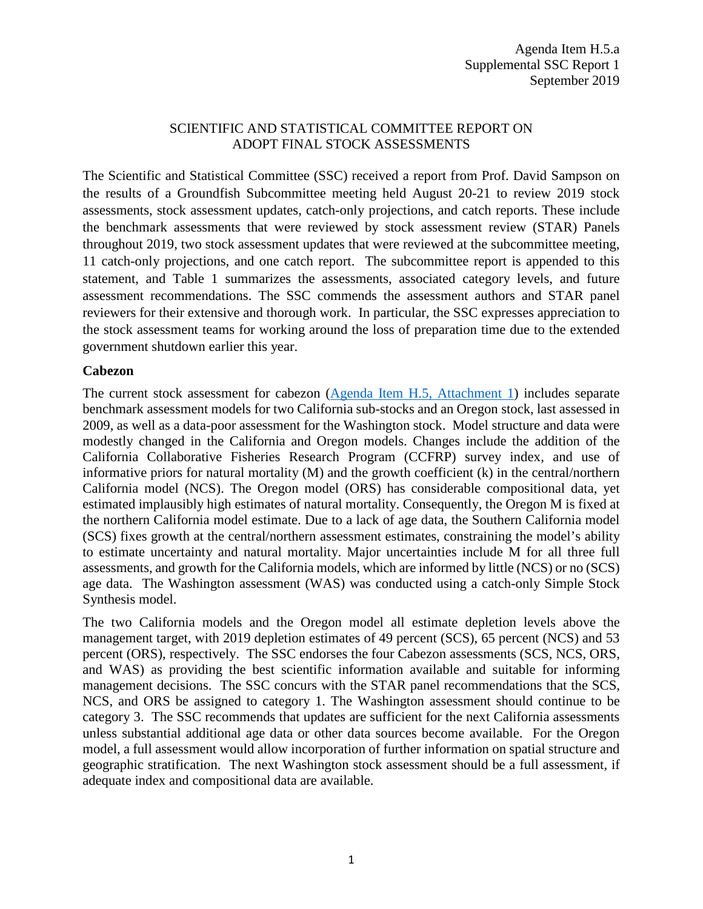# SCIENTIFIC AND STATISTICAL COMMITTEE REPORT ON ADOPT FINAL STOCK ASSESSMENTS

The Scientific and Statistical Committee (SSC) received a report from Prof. David Sampson on the results of a Groundfish Subcommittee meeting held August 20-21 to review 2019 stock assessments, stock assessment updates, catch-only projections, and catch reports. These include the benchmark assessments that were reviewed by stock assessment review (STAR) Panels throughout 2019, two stock assessment updates that were reviewed at the subcommittee meeting, 11 catch-only projections, and one catch report. The subcommittee report is appended to this statement, and Table 1 summarizes the assessments, associated category levels, and future assessment recommendations. The SSC commends the assessment authors and STAR panel reviewers for their extensive and thorough work. In particular, the SSC expresses appreciation to the stock assessment teams for working around the loss of preparation time due to the extended government shutdown earlier this year.

#### **Cabezon**

The current stock assessment for cabezon [\(Agenda Item H.5, Attachment 1\)](https://www.pcouncil.org/wp-content/uploads/2019/08/H5_Att1_Cabezon-2019_Full_E-Only_SEPT2019BB.pdf) includes separate benchmark assessment models for two California sub-stocks and an Oregon stock, last assessed in 2009, as well as a data-poor assessment for the Washington stock. Model structure and data were modestly changed in the California and Oregon models. Changes include the addition of the California Collaborative Fisheries Research Program (CCFRP) survey index, and use of informative priors for natural mortality (M) and the growth coefficient (k) in the central/northern California model (NCS). The Oregon model (ORS) has considerable compositional data, yet estimated implausibly high estimates of natural mortality. Consequently, the Oregon M is fixed at the northern California model estimate. Due to a lack of age data, the Southern California model (SCS) fixes growth at the central/northern assessment estimates, constraining the model's ability to estimate uncertainty and natural mortality. Major uncertainties include M for all three full assessments, and growth for the California models, which are informed by little (NCS) or no (SCS) age data. The Washington assessment (WAS) was conducted using a catch-only Simple Stock Synthesis model.

The two California models and the Oregon model all estimate depletion levels above the management target, with 2019 depletion estimates of 49 percent (SCS), 65 percent (NCS) and 53 percent (ORS), respectively. The SSC endorses the four Cabezon assessments (SCS, NCS, ORS, and WAS) as providing the best scientific information available and suitable for informing management decisions. The SSC concurs with the STAR panel recommendations that the SCS, NCS, and ORS be assigned to category 1. The Washington assessment should continue to be category 3. The SSC recommends that updates are sufficient for the next California assessments unless substantial additional age data or other data sources become available. For the Oregon model, a full assessment would allow incorporation of further information on spatial structure and geographic stratification. The next Washington stock assessment should be a full assessment, if adequate index and compositional data are available.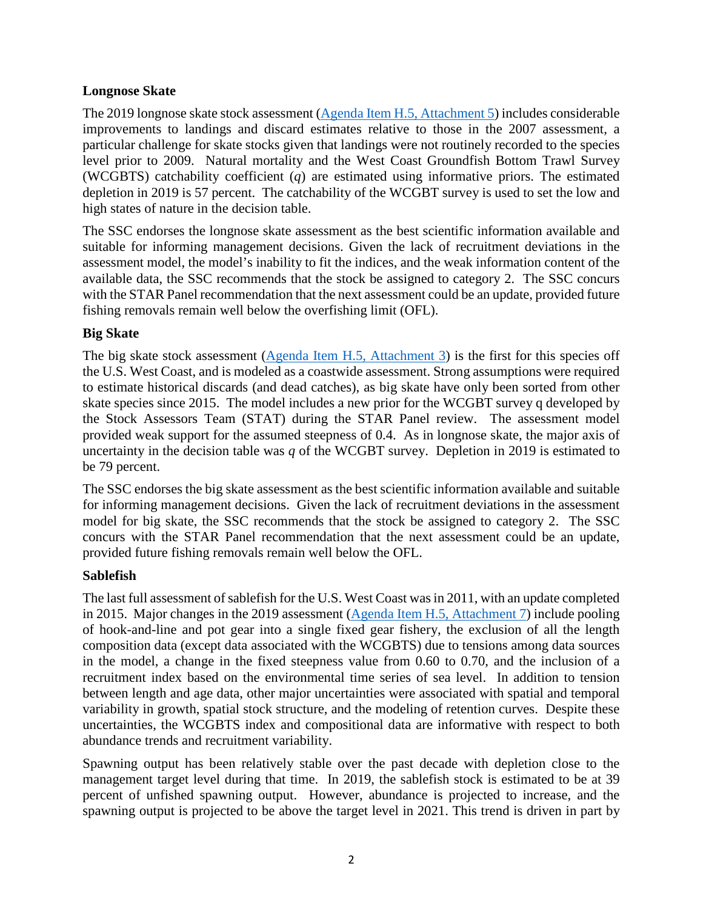## **Longnose Skate**

The 2019 longnose skate stock assessment [\(Agenda Item H.5, Attachment 5\)](https://www.pcouncil.org/wp-content/uploads/2019/08/H5_Att5_Longnose-skate_Full_E-Only_SEPT2019BB.pdf) includes considerable improvements to landings and discard estimates relative to those in the 2007 assessment, a particular challenge for skate stocks given that landings were not routinely recorded to the species level prior to 2009. Natural mortality and the West Coast Groundfish Bottom Trawl Survey (WCGBTS) catchability coefficient (*q*) are estimated using informative priors. The estimated depletion in 2019 is 57 percent. The catchability of the WCGBT survey is used to set the low and high states of nature in the decision table.

The SSC endorses the longnose skate assessment as the best scientific information available and suitable for informing management decisions. Given the lack of recruitment deviations in the assessment model, the model's inability to fit the indices, and the weak information content of the available data, the SSC recommends that the stock be assigned to category 2. The SSC concurs with the STAR Panel recommendation that the next assessment could be an update, provided future fishing removals remain well below the overfishing limit (OFL).

# **Big Skate**

The big skate stock assessment [\(Agenda Item H.5, Attachment 3\)](https://www.pcouncil.org/wp-content/uploads/2019/08/H5_Att3_Big_Skate_2019_Full_E-Only_SEPT2019BB.pdf) is the first for this species off the U.S. West Coast, and is modeled as a coastwide assessment. Strong assumptions were required to estimate historical discards (and dead catches), as big skate have only been sorted from other skate species since 2015. The model includes a new prior for the WCGBT survey q developed by the Stock Assessors Team (STAT) during the STAR Panel review. The assessment model provided weak support for the assumed steepness of 0.4. As in longnose skate, the major axis of uncertainty in the decision table was *q* of the WCGBT survey. Depletion in 2019 is estimated to be 79 percent.

The SSC endorses the big skate assessment as the best scientific information available and suitable for informing management decisions. Given the lack of recruitment deviations in the assessment model for big skate, the SSC recommends that the stock be assigned to category 2. The SSC concurs with the STAR Panel recommendation that the next assessment could be an update, provided future fishing removals remain well below the OFL.

# **Sablefish**

The last full assessment of sablefish for the U.S. West Coast was in 2011, with an update completed in 2015. Major changes in the 2019 assessment [\(Agenda Item H.5, Attachment 7\)](https://www.pcouncil.org/wp-content/uploads/2019/08/H5_Att7_Sablefish_Full_E-Only_SEPT2019BB.pdf) include pooling of hook-and-line and pot gear into a single fixed gear fishery, the exclusion of all the length composition data (except data associated with the WCGBTS) due to tensions among data sources in the model, a change in the fixed steepness value from 0.60 to 0.70, and the inclusion of a recruitment index based on the environmental time series of sea level. In addition to tension between length and age data, other major uncertainties were associated with spatial and temporal variability in growth, spatial stock structure, and the modeling of retention curves. Despite these uncertainties, the WCGBTS index and compositional data are informative with respect to both abundance trends and recruitment variability.

Spawning output has been relatively stable over the past decade with depletion close to the management target level during that time. In 2019, the sablefish stock is estimated to be at 39 percent of unfished spawning output. However, abundance is projected to increase, and the spawning output is projected to be above the target level in 2021. This trend is driven in part by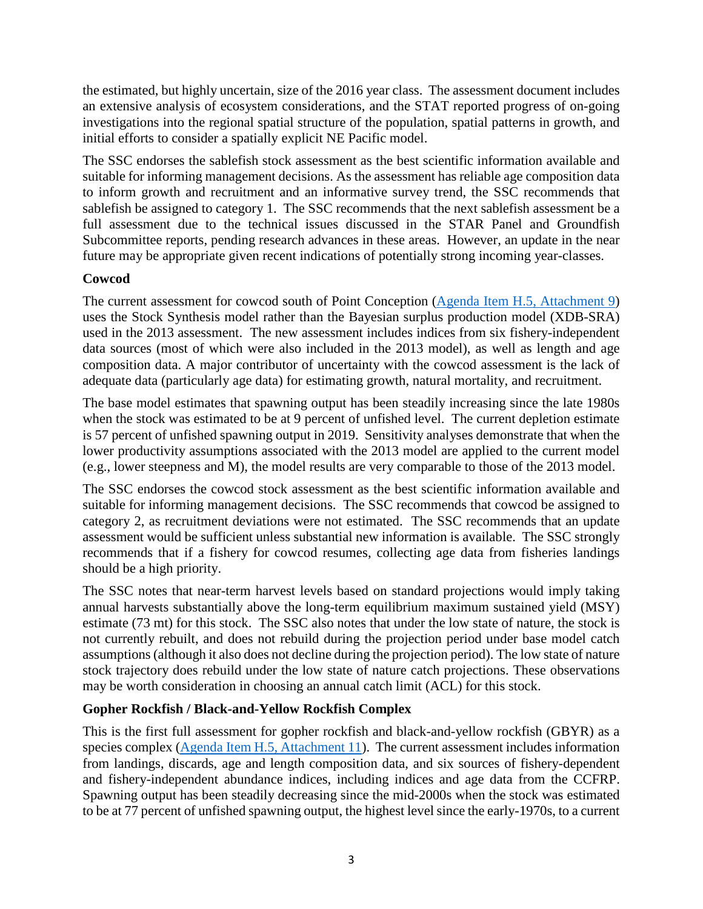the estimated, but highly uncertain, size of the 2016 year class. The assessment document includes an extensive analysis of ecosystem considerations, and the STAT reported progress of on-going investigations into the regional spatial structure of the population, spatial patterns in growth, and initial efforts to consider a spatially explicit NE Pacific model.

The SSC endorses the sablefish stock assessment as the best scientific information available and suitable for informing management decisions. As the assessment has reliable age composition data to inform growth and recruitment and an informative survey trend, the SSC recommends that sablefish be assigned to category 1. The SSC recommends that the next sablefish assessment be a full assessment due to the technical issues discussed in the STAR Panel and Groundfish Subcommittee reports, pending research advances in these areas. However, an update in the near future may be appropriate given recent indications of potentially strong incoming year-classes.

# **Cowcod**

The current assessment for cowcod south of Point Conception [\(Agenda Item H.5, Attachment 9\)](https://www.pcouncil.org/wp-content/uploads/2019/08/H5_Att9_Cowcod_2019_Full_E-Only_SEPT2019BB.pdf) uses the Stock Synthesis model rather than the Bayesian surplus production model (XDB-SRA) used in the 2013 assessment. The new assessment includes indices from six fishery-independent data sources (most of which were also included in the 2013 model), as well as length and age composition data. A major contributor of uncertainty with the cowcod assessment is the lack of adequate data (particularly age data) for estimating growth, natural mortality, and recruitment.

The base model estimates that spawning output has been steadily increasing since the late 1980s when the stock was estimated to be at 9 percent of unfished level. The current depletion estimate is 57 percent of unfished spawning output in 2019. Sensitivity analyses demonstrate that when the lower productivity assumptions associated with the 2013 model are applied to the current model (e.g., lower steepness and M), the model results are very comparable to those of the 2013 model.

The SSC endorses the cowcod stock assessment as the best scientific information available and suitable for informing management decisions. The SSC recommends that cowcod be assigned to category 2, as recruitment deviations were not estimated. The SSC recommends that an update assessment would be sufficient unless substantial new information is available. The SSC strongly recommends that if a fishery for cowcod resumes, collecting age data from fisheries landings should be a high priority.

The SSC notes that near-term harvest levels based on standard projections would imply taking annual harvests substantially above the long-term equilibrium maximum sustained yield (MSY) estimate (73 mt) for this stock. The SSC also notes that under the low state of nature, the stock is not currently rebuilt, and does not rebuild during the projection period under base model catch assumptions(although it also does not decline during the projection period). The low state of nature stock trajectory does rebuild under the low state of nature catch projections. These observations may be worth consideration in choosing an annual catch limit (ACL) for this stock.

# **Gopher Rockfish / Black-and-Yellow Rockfish Complex**

This is the first full assessment for gopher rockfish and black-and-yellow rockfish (GBYR) as a species complex [\(Agenda Item H.5, Attachment 11\)](https://www.pcouncil.org/wp-content/uploads/2019/08/H5_Att11_GPHR_BYEL_draft_assessment_Full_E-Only_SEPT2019BB.pdf). The current assessment includes information from landings, discards, age and length composition data, and six sources of fishery-dependent and fishery-independent abundance indices, including indices and age data from the CCFRP. Spawning output has been steadily decreasing since the mid-2000s when the stock was estimated to be at 77 percent of unfished spawning output, the highest level since the early-1970s, to a current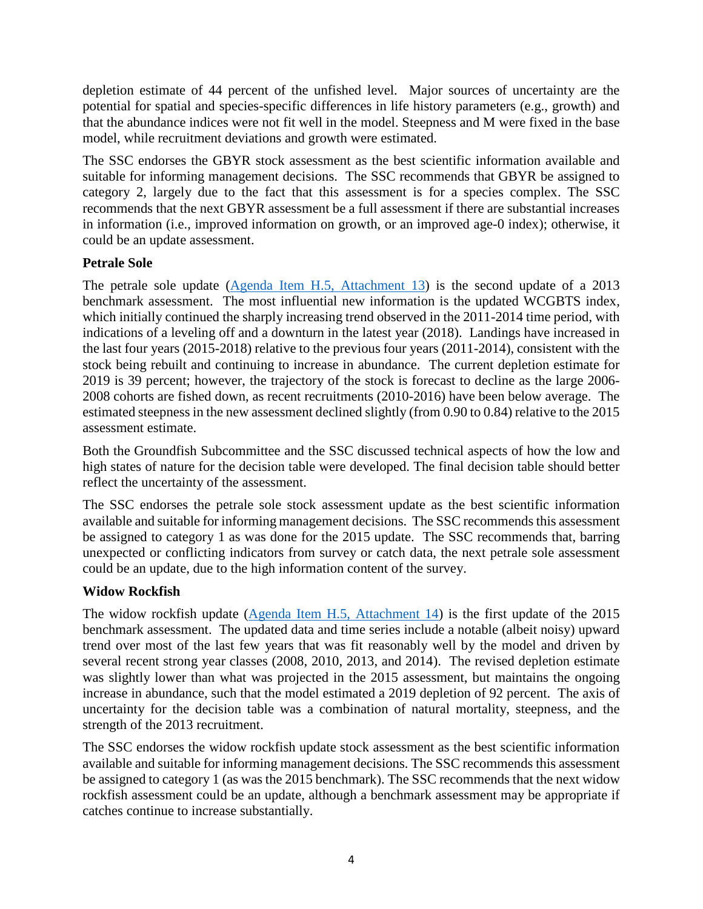depletion estimate of 44 percent of the unfished level. Major sources of uncertainty are the potential for spatial and species-specific differences in life history parameters (e.g., growth) and that the abundance indices were not fit well in the model. Steepness and M were fixed in the base model, while recruitment deviations and growth were estimated.

The SSC endorses the GBYR stock assessment as the best scientific information available and suitable for informing management decisions. The SSC recommends that GBYR be assigned to category 2, largely due to the fact that this assessment is for a species complex. The SSC recommends that the next GBYR assessment be a full assessment if there are substantial increases in information (i.e., improved information on growth, or an improved age-0 index); otherwise, it could be an update assessment.

# **Petrale Sole**

The petrale sole update [\(Agenda Item H.5, Attachment 13\)](https://www.pcouncil.org/wp-content/uploads/2019/08/H5_Att13_Petrale_2019_Update_Full_E-Only_SEPT2019BB.pdf) is the second update of a 2013 benchmark assessment. The most influential new information is the updated WCGBTS index, which initially continued the sharply increasing trend observed in the 2011-2014 time period, with indications of a leveling off and a downturn in the latest year (2018). Landings have increased in the last four years (2015-2018) relative to the previous four years (2011-2014), consistent with the stock being rebuilt and continuing to increase in abundance. The current depletion estimate for 2019 is 39 percent; however, the trajectory of the stock is forecast to decline as the large 2006- 2008 cohorts are fished down, as recent recruitments (2010-2016) have been below average. The estimated steepness in the new assessment declined slightly (from 0.90 to 0.84) relative to the 2015 assessment estimate.

Both the Groundfish Subcommittee and the SSC discussed technical aspects of how the low and high states of nature for the decision table were developed. The final decision table should better reflect the uncertainty of the assessment.

The SSC endorses the petrale sole stock assessment update as the best scientific information available and suitable for informing management decisions. The SSC recommends this assessment be assigned to category 1 as was done for the 2015 update. The SSC recommends that, barring unexpected or conflicting indicators from survey or catch data, the next petrale sole assessment could be an update, due to the high information content of the survey.

# **Widow Rockfish**

The widow rockfish update [\(Agenda Item H.5, Attachment 14\)](https://www.pcouncil.org/wp-content/uploads/2019/08/H5_Att14_2019WidowUpdatev5_Full_E-Only_SEPT2019BB.pdf) is the first update of the 2015 benchmark assessment. The updated data and time series include a notable (albeit noisy) upward trend over most of the last few years that was fit reasonably well by the model and driven by several recent strong year classes (2008, 2010, 2013, and 2014). The revised depletion estimate was slightly lower than what was projected in the 2015 assessment, but maintains the ongoing increase in abundance, such that the model estimated a 2019 depletion of 92 percent. The axis of uncertainty for the decision table was a combination of natural mortality, steepness, and the strength of the 2013 recruitment.

The SSC endorses the widow rockfish update stock assessment as the best scientific information available and suitable for informing management decisions. The SSC recommends this assessment be assigned to category 1 (as was the 2015 benchmark). The SSC recommends that the next widow rockfish assessment could be an update, although a benchmark assessment may be appropriate if catches continue to increase substantially.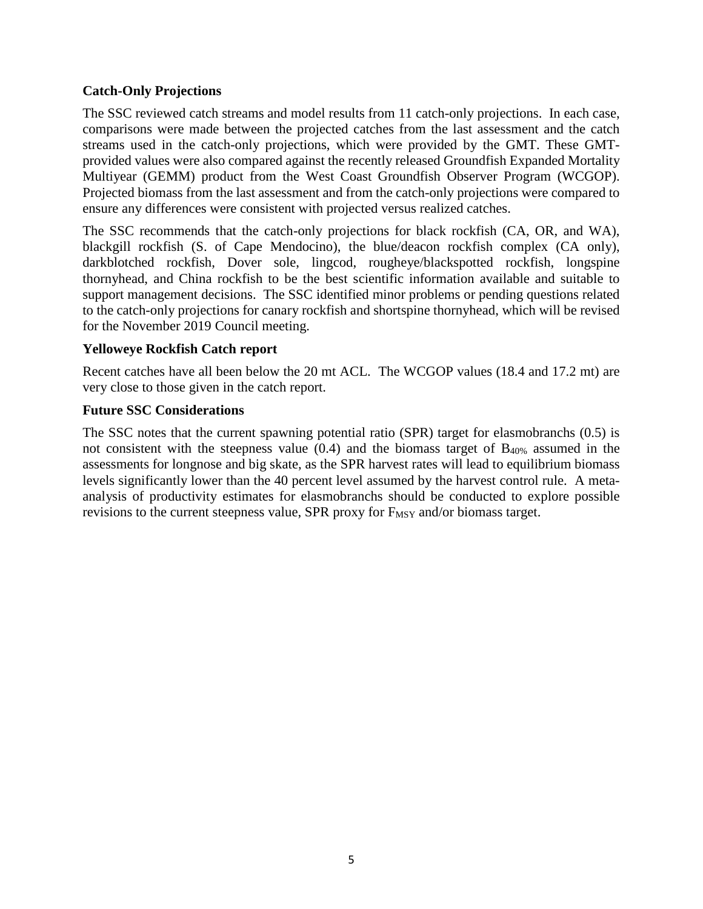## **Catch-Only Projections**

The SSC reviewed catch streams and model results from 11 catch-only projections. In each case, comparisons were made between the projected catches from the last assessment and the catch streams used in the catch-only projections, which were provided by the GMT. These GMTprovided values were also compared against the recently released Groundfish Expanded Mortality Multiyear (GEMM) product from the West Coast Groundfish Observer Program (WCGOP). Projected biomass from the last assessment and from the catch-only projections were compared to ensure any differences were consistent with projected versus realized catches.

The SSC recommends that the catch-only projections for black rockfish (CA, OR, and WA), blackgill rockfish (S. of Cape Mendocino), the blue/deacon rockfish complex (CA only), darkblotched rockfish, Dover sole, lingcod, rougheye/blackspotted rockfish, longspine thornyhead, and China rockfish to be the best scientific information available and suitable to support management decisions. The SSC identified minor problems or pending questions related to the catch-only projections for canary rockfish and shortspine thornyhead, which will be revised for the November 2019 Council meeting.

#### **Yelloweye Rockfish Catch report**

Recent catches have all been below the 20 mt ACL. The WCGOP values (18.4 and 17.2 mt) are very close to those given in the catch report.

#### **Future SSC Considerations**

The SSC notes that the current spawning potential ratio (SPR) target for elasmobranchs (0.5) is not consistent with the steepness value  $(0.4)$  and the biomass target of B<sub>40%</sub> assumed in the assessments for longnose and big skate, as the SPR harvest rates will lead to equilibrium biomass levels significantly lower than the 40 percent level assumed by the harvest control rule. A metaanalysis of productivity estimates for elasmobranchs should be conducted to explore possible revisions to the current steepness value, SPR proxy for  $F_{MSY}$  and/or biomass target.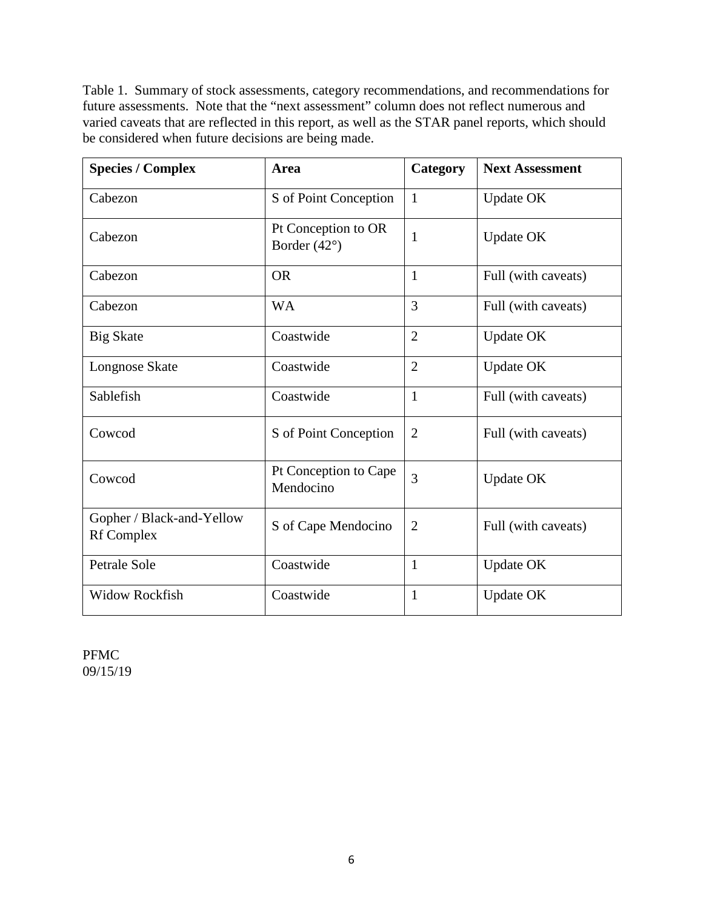Table 1. Summary of stock assessments, category recommendations, and recommendations for future assessments. Note that the "next assessment" column does not reflect numerous and varied caveats that are reflected in this report, as well as the STAR panel reports, which should be considered when future decisions are being made.

| <b>Species / Complex</b>                       | Area                                         | Category       | <b>Next Assessment</b> |  |
|------------------------------------------------|----------------------------------------------|----------------|------------------------|--|
| Cabezon                                        | S of Point Conception                        | $\mathbf{1}$   | <b>Update OK</b>       |  |
| Cabezon                                        | Pt Conception to OR<br>Border $(42^{\circ})$ | $\mathbf{1}$   | <b>Update OK</b>       |  |
| Cabezon                                        | <b>OR</b>                                    | $\mathbf{1}$   | Full (with caveats)    |  |
| Cabezon                                        | <b>WA</b>                                    | 3              | Full (with caveats)    |  |
| <b>Big Skate</b>                               | Coastwide                                    | $\overline{2}$ | <b>Update OK</b>       |  |
| Longnose Skate                                 | Coastwide                                    | $\overline{2}$ | <b>Update OK</b>       |  |
| Sablefish                                      | Coastwide                                    | $\mathbf{1}$   | Full (with caveats)    |  |
| Cowcod                                         | S of Point Conception                        | $\overline{2}$ | Full (with caveats)    |  |
| Cowcod                                         | Pt Conception to Cape<br>Mendocino           | 3              | <b>Update OK</b>       |  |
| Gopher / Black-and-Yellow<br><b>Rf</b> Complex | S of Cape Mendocino                          | $\overline{2}$ | Full (with caveats)    |  |
| Petrale Sole                                   | Coastwide                                    | $\mathbf{1}$   | <b>Update OK</b>       |  |
| <b>Widow Rockfish</b>                          | Coastwide                                    | $\mathbf{1}$   | <b>Update OK</b>       |  |

PFMC 09/15/19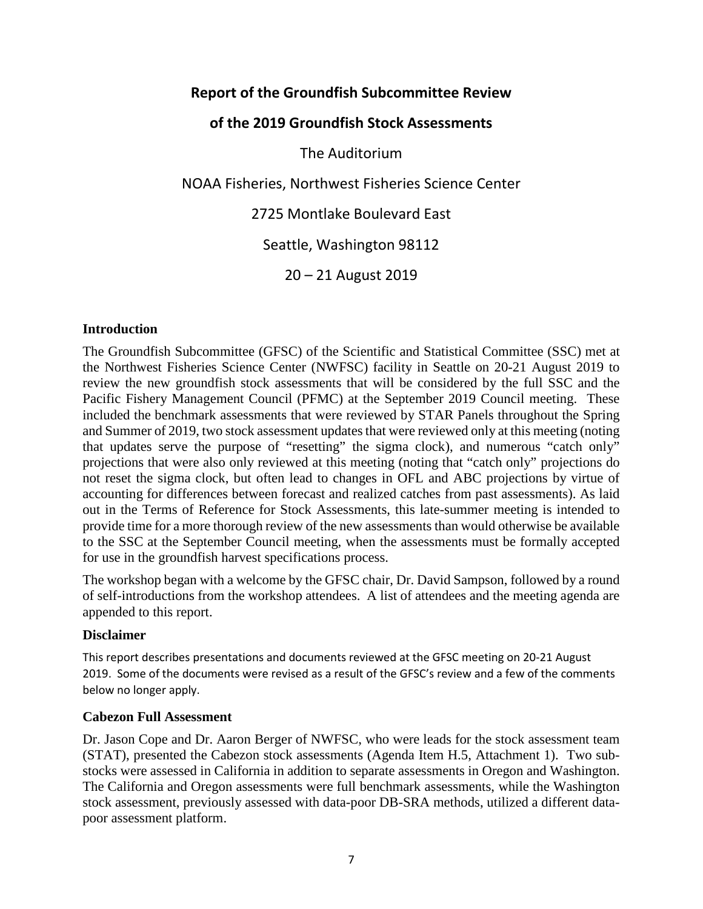# **Report of the Groundfish Subcommittee Review**

# **of the 2019 Groundfish Stock Assessments**

The Auditorium

NOAA Fisheries, Northwest Fisheries Science Center

2725 Montlake Boulevard East

Seattle, Washington 98112

20 – 21 August 2019

#### **Introduction**

The Groundfish Subcommittee (GFSC) of the Scientific and Statistical Committee (SSC) met at the Northwest Fisheries Science Center (NWFSC) facility in Seattle on 20-21 August 2019 to review the new groundfish stock assessments that will be considered by the full SSC and the Pacific Fishery Management Council (PFMC) at the September 2019 Council meeting. These included the benchmark assessments that were reviewed by STAR Panels throughout the Spring and Summer of 2019, two stock assessment updates that were reviewed only at this meeting (noting that updates serve the purpose of "resetting" the sigma clock), and numerous "catch only" projections that were also only reviewed at this meeting (noting that "catch only" projections do not reset the sigma clock, but often lead to changes in OFL and ABC projections by virtue of accounting for differences between forecast and realized catches from past assessments). As laid out in the Terms of Reference for Stock Assessments, this late-summer meeting is intended to provide time for a more thorough review of the new assessments than would otherwise be available to the SSC at the September Council meeting, when the assessments must be formally accepted for use in the groundfish harvest specifications process.

The workshop began with a welcome by the GFSC chair, Dr. David Sampson, followed by a round of self-introductions from the workshop attendees. A list of attendees and the meeting agenda are appended to this report.

#### **Disclaimer**

This report describes presentations and documents reviewed at the GFSC meeting on 20-21 August 2019. Some of the documents were revised as a result of the GFSC's review and a few of the comments below no longer apply.

#### **Cabezon Full Assessment**

Dr. Jason Cope and Dr. Aaron Berger of NWFSC, who were leads for the stock assessment team (STAT), presented the Cabezon stock assessments (Agenda Item H.5, Attachment 1). Two substocks were assessed in California in addition to separate assessments in Oregon and Washington. The California and Oregon assessments were full benchmark assessments, while the Washington stock assessment, previously assessed with data-poor DB-SRA methods, utilized a different datapoor assessment platform.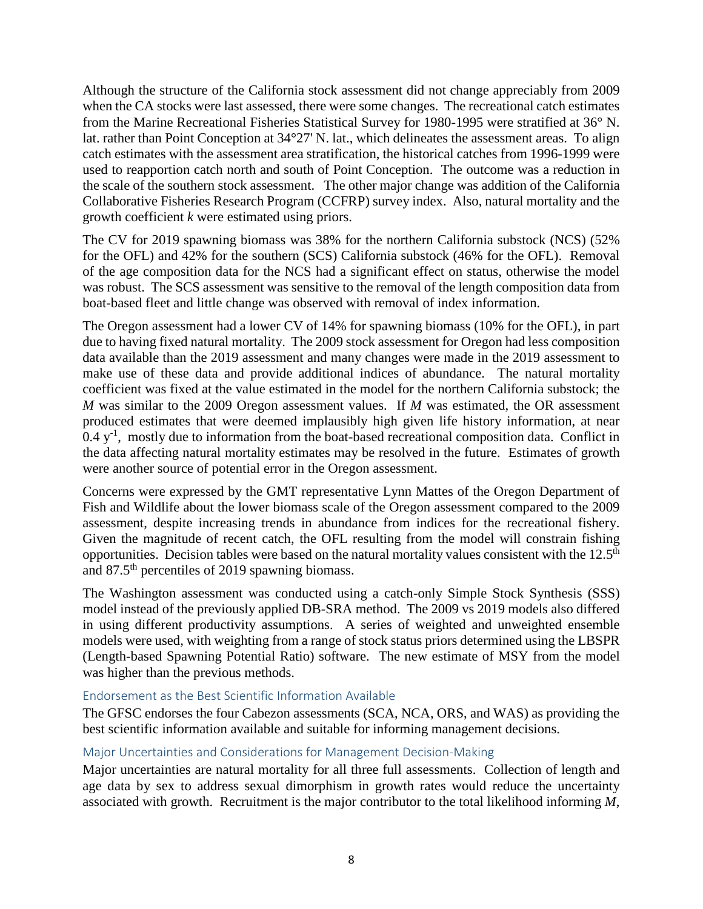Although the structure of the California stock assessment did not change appreciably from 2009 when the CA stocks were last assessed, there were some changes. The recreational catch estimates from the Marine Recreational Fisheries Statistical Survey for 1980-1995 were stratified at 36° N. lat. rather than Point Conception at 34°27' N. lat., which delineates the assessment areas. To align catch estimates with the assessment area stratification, the historical catches from 1996-1999 were used to reapportion catch north and south of Point Conception. The outcome was a reduction in the scale of the southern stock assessment. The other major change was addition of the California Collaborative Fisheries Research Program (CCFRP) survey index. Also, natural mortality and the growth coefficient *k* were estimated using priors.

The CV for 2019 spawning biomass was 38% for the northern California substock (NCS) (52% for the OFL) and 42% for the southern (SCS) California substock (46% for the OFL). Removal of the age composition data for the NCS had a significant effect on status, otherwise the model was robust. The SCS assessment was sensitive to the removal of the length composition data from boat-based fleet and little change was observed with removal of index information.

The Oregon assessment had a lower CV of 14% for spawning biomass (10% for the OFL), in part due to having fixed natural mortality. The 2009 stock assessment for Oregon had less composition data available than the 2019 assessment and many changes were made in the 2019 assessment to make use of these data and provide additional indices of abundance. The natural mortality coefficient was fixed at the value estimated in the model for the northern California substock; the *M* was similar to the 2009 Oregon assessment values. If *M* was estimated, the OR assessment produced estimates that were deemed implausibly high given life history information, at near  $0.4 \, \mathrm{y}^{-1}$ , mostly due to information from the boat-based recreational composition data. Conflict in the data affecting natural mortality estimates may be resolved in the future. Estimates of growth were another source of potential error in the Oregon assessment.

Concerns were expressed by the GMT representative Lynn Mattes of the Oregon Department of Fish and Wildlife about the lower biomass scale of the Oregon assessment compared to the 2009 assessment, despite increasing trends in abundance from indices for the recreational fishery. Given the magnitude of recent catch, the OFL resulting from the model will constrain fishing opportunities. Decision tables were based on the natural mortality values consistent with the 12.5<sup>th</sup> and 87.5th percentiles of 2019 spawning biomass.

The Washington assessment was conducted using a catch-only Simple Stock Synthesis (SSS) model instead of the previously applied DB-SRA method. The 2009 vs 2019 models also differed in using different productivity assumptions. A series of weighted and unweighted ensemble models were used, with weighting from a range of stock status priors determined using the LBSPR (Length-based Spawning Potential Ratio) software. The new estimate of MSY from the model was higher than the previous methods.

# Endorsement as the Best Scientific Information Available

The GFSC endorses the four Cabezon assessments (SCA, NCA, ORS, and WAS) as providing the best scientific information available and suitable for informing management decisions.

# Major Uncertainties and Considerations for Management Decision-Making

Major uncertainties are natural mortality for all three full assessments. Collection of length and age data by sex to address sexual dimorphism in growth rates would reduce the uncertainty associated with growth. Recruitment is the major contributor to the total likelihood informing *M*,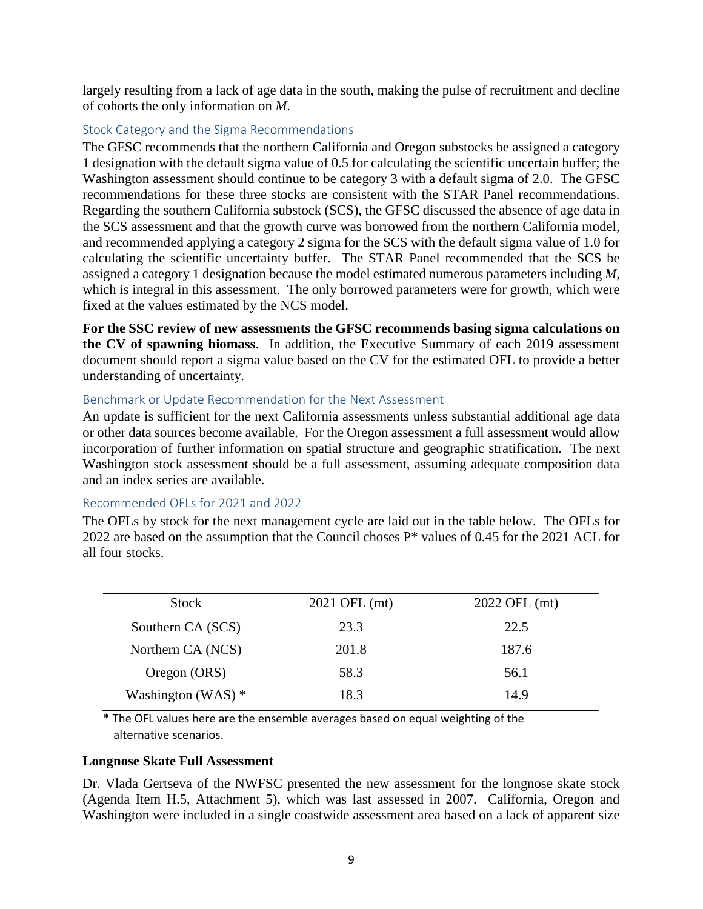largely resulting from a lack of age data in the south, making the pulse of recruitment and decline of cohorts the only information on *M*.

## Stock Category and the Sigma Recommendations

The GFSC recommends that the northern California and Oregon substocks be assigned a category 1 designation with the default sigma value of 0.5 for calculating the scientific uncertain buffer; the Washington assessment should continue to be category 3 with a default sigma of 2.0. The GFSC recommendations for these three stocks are consistent with the STAR Panel recommendations. Regarding the southern California substock (SCS), the GFSC discussed the absence of age data in the SCS assessment and that the growth curve was borrowed from the northern California model, and recommended applying a category 2 sigma for the SCS with the default sigma value of 1.0 for calculating the scientific uncertainty buffer. The STAR Panel recommended that the SCS be assigned a category 1 designation because the model estimated numerous parameters including *M*, which is integral in this assessment. The only borrowed parameters were for growth, which were fixed at the values estimated by the NCS model.

**For the SSC review of new assessments the GFSC recommends basing sigma calculations on the CV of spawning biomass**. In addition, the Executive Summary of each 2019 assessment document should report a sigma value based on the CV for the estimated OFL to provide a better understanding of uncertainty.

#### Benchmark or Update Recommendation for the Next Assessment

An update is sufficient for the next California assessments unless substantial additional age data or other data sources become available. For the Oregon assessment a full assessment would allow incorporation of further information on spatial structure and geographic stratification. The next Washington stock assessment should be a full assessment, assuming adequate composition data and an index series are available.

#### Recommended OFLs for 2021 and 2022

The OFLs by stock for the next management cycle are laid out in the table below. The OFLs for 2022 are based on the assumption that the Council choses P\* values of 0.45 for the 2021 ACL for all four stocks.

| <b>Stock</b>         | 2021 OFL (mt) | 2022 OFL (mt) |
|----------------------|---------------|---------------|
| Southern CA (SCS)    | 23.3          | 22.5          |
| Northern CA (NCS)    | 201.8         | 187.6         |
| Oregon (ORS)         | 58.3          | 56.1          |
| Washington (WAS) $*$ | 18.3          | 14.9          |

\* The OFL values here are the ensemble averages based on equal weighting of the alternative scenarios.

#### **Longnose Skate Full Assessment**

Dr. Vlada Gertseva of the NWFSC presented the new assessment for the longnose skate stock (Agenda Item H.5, Attachment 5), which was last assessed in 2007. California, Oregon and Washington were included in a single coastwide assessment area based on a lack of apparent size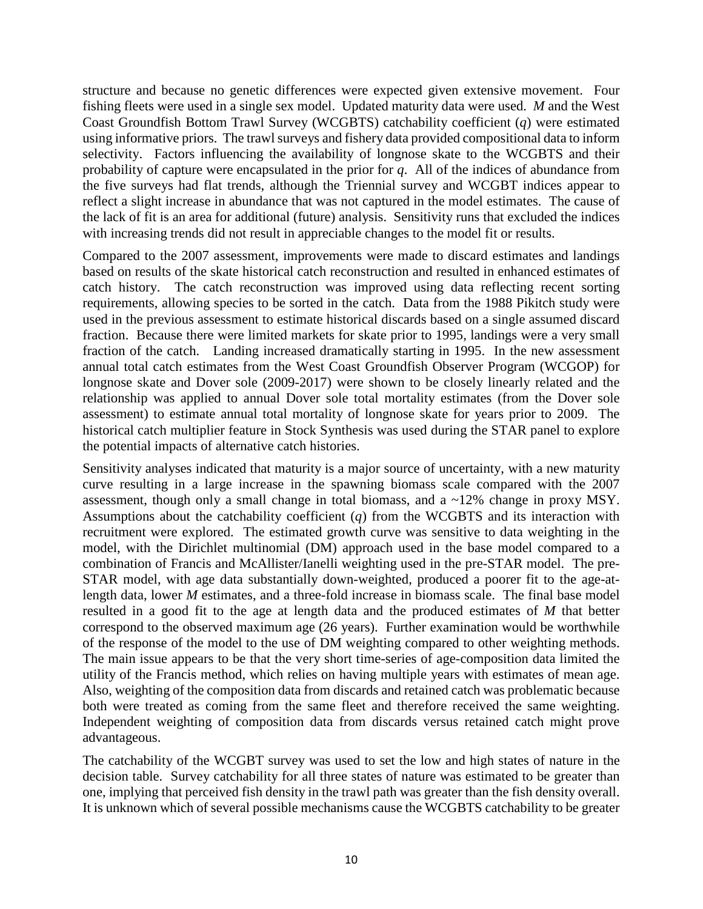structure and because no genetic differences were expected given extensive movement. Four fishing fleets were used in a single sex model. Updated maturity data were used. *M* and the West Coast Groundfish Bottom Trawl Survey (WCGBTS) catchability coefficient (*q*) were estimated using informative priors. The trawl surveys and fishery data provided compositional data to inform selectivity. Factors influencing the availability of longnose skate to the WCGBTS and their probability of capture were encapsulated in the prior for *q*. All of the indices of abundance from the five surveys had flat trends, although the Triennial survey and WCGBT indices appear to reflect a slight increase in abundance that was not captured in the model estimates. The cause of the lack of fit is an area for additional (future) analysis. Sensitivity runs that excluded the indices with increasing trends did not result in appreciable changes to the model fit or results.

Compared to the 2007 assessment, improvements were made to discard estimates and landings based on results of the skate historical catch reconstruction and resulted in enhanced estimates of catch history. The catch reconstruction was improved using data reflecting recent sorting requirements, allowing species to be sorted in the catch. Data from the 1988 Pikitch study were used in the previous assessment to estimate historical discards based on a single assumed discard fraction. Because there were limited markets for skate prior to 1995, landings were a very small fraction of the catch. Landing increased dramatically starting in 1995. In the new assessment annual total catch estimates from the West Coast Groundfish Observer Program (WCGOP) for longnose skate and Dover sole (2009-2017) were shown to be closely linearly related and the relationship was applied to annual Dover sole total mortality estimates (from the Dover sole assessment) to estimate annual total mortality of longnose skate for years prior to 2009. The historical catch multiplier feature in Stock Synthesis was used during the STAR panel to explore the potential impacts of alternative catch histories.

Sensitivity analyses indicated that maturity is a major source of uncertainty, with a new maturity curve resulting in a large increase in the spawning biomass scale compared with the 2007 assessment, though only a small change in total biomass, and a ~12% change in proxy MSY. Assumptions about the catchability coefficient (*q*) from the WCGBTS and its interaction with recruitment were explored. The estimated growth curve was sensitive to data weighting in the model, with the Dirichlet multinomial (DM) approach used in the base model compared to a combination of Francis and McAllister/Ianelli weighting used in the pre-STAR model. The pre-STAR model, with age data substantially down-weighted, produced a poorer fit to the age-atlength data, lower *M* estimates, and a three-fold increase in biomass scale. The final base model resulted in a good fit to the age at length data and the produced estimates of *M* that better correspond to the observed maximum age (26 years). Further examination would be worthwhile of the response of the model to the use of DM weighting compared to other weighting methods. The main issue appears to be that the very short time-series of age-composition data limited the utility of the Francis method, which relies on having multiple years with estimates of mean age. Also, weighting of the composition data from discards and retained catch was problematic because both were treated as coming from the same fleet and therefore received the same weighting. Independent weighting of composition data from discards versus retained catch might prove advantageous.

The catchability of the WCGBT survey was used to set the low and high states of nature in the decision table. Survey catchability for all three states of nature was estimated to be greater than one, implying that perceived fish density in the trawl path was greater than the fish density overall. It is unknown which of several possible mechanisms cause the WCGBTS catchability to be greater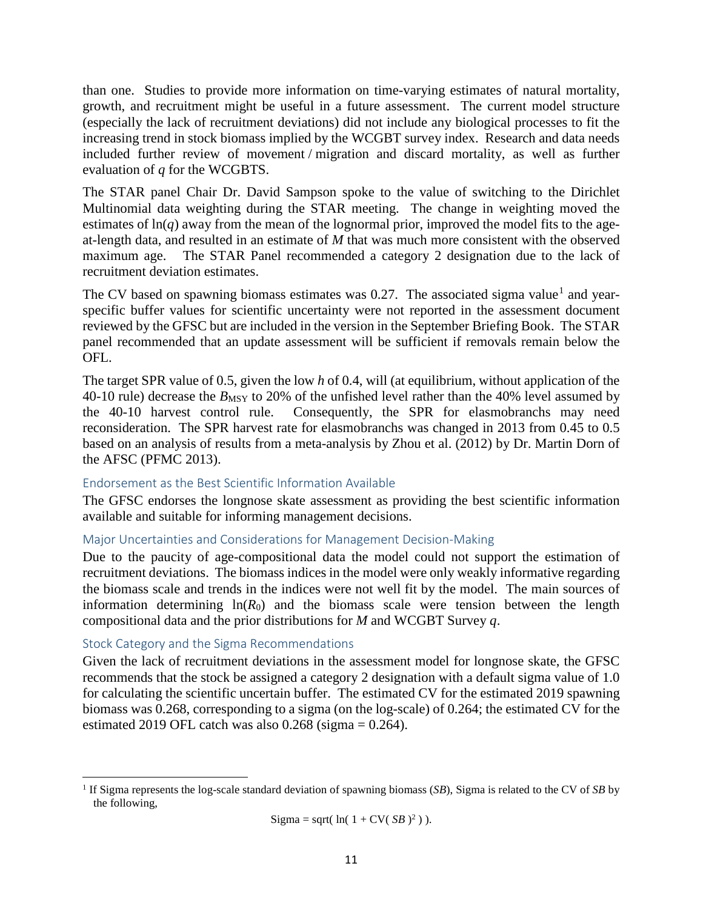than one. Studies to provide more information on time-varying estimates of natural mortality, growth, and recruitment might be useful in a future assessment. The current model structure (especially the lack of recruitment deviations) did not include any biological processes to fit the increasing trend in stock biomass implied by the WCGBT survey index. Research and data needs included further review of movement / migration and discard mortality, as well as further evaluation of *q* for the WCGBTS.

The STAR panel Chair Dr. David Sampson spoke to the value of switching to the Dirichlet Multinomial data weighting during the STAR meeting. The change in weighting moved the estimates of  $ln(q)$  away from the mean of the lognormal prior, improved the model fits to the ageat-length data, and resulted in an estimate of *M* that was much more consistent with the observed maximum age. The STAR Panel recommended a category 2 designation due to the lack of recruitment deviation estimates.

The CV based on spawning biomass estimates was  $0.27$ . The associated sigma value<sup>[1](#page-10-0)</sup> and yearspecific buffer values for scientific uncertainty were not reported in the assessment document reviewed by the GFSC but are included in the version in the September Briefing Book. The STAR panel recommended that an update assessment will be sufficient if removals remain below the OFL.

The target SPR value of 0.5, given the low *h* of 0.4, will (at equilibrium, without application of the 40-10 rule) decrease the *B*<sub>MSY</sub> to 20% of the unfished level rather than the 40% level assumed by the 40-10 harvest control rule. Consequently, the SPR for elasmobranchs may need reconsideration. The SPR harvest rate for elasmobranchs was changed in 2013 from 0.45 to 0.5 based on an analysis of results from a meta-analysis by Zhou et al. (2012) by Dr. Martin Dorn of the AFSC (PFMC 2013).

#### Endorsement as the Best Scientific Information Available

The GFSC endorses the longnose skate assessment as providing the best scientific information available and suitable for informing management decisions.

# Major Uncertainties and Considerations for Management Decision-Making

Due to the paucity of age-compositional data the model could not support the estimation of recruitment deviations. The biomass indices in the model were only weakly informative regarding the biomass scale and trends in the indices were not well fit by the model. The main sources of information determining  $ln(R_0)$  and the biomass scale were tension between the length compositional data and the prior distributions for *M* and WCGBT Survey *q*.

# Stock Category and the Sigma Recommendations

 $\overline{\phantom{a}}$ 

Given the lack of recruitment deviations in the assessment model for longnose skate, the GFSC recommends that the stock be assigned a category 2 designation with a default sigma value of 1.0 for calculating the scientific uncertain buffer. The estimated CV for the estimated 2019 spawning biomass was 0.268, corresponding to a sigma (on the log-scale) of 0.264; the estimated CV for the estimated 2019 OFL catch was also  $0.268$  (sigma =  $0.264$ ).

$$
Sigma = sqrt(\ln(1 + CV(\text{SB})^2)).
$$

<span id="page-10-0"></span><sup>1</sup> If Sigma represents the log-scale standard deviation of spawning biomass (*SB*), Sigma is related to the CV of *SB* by the following,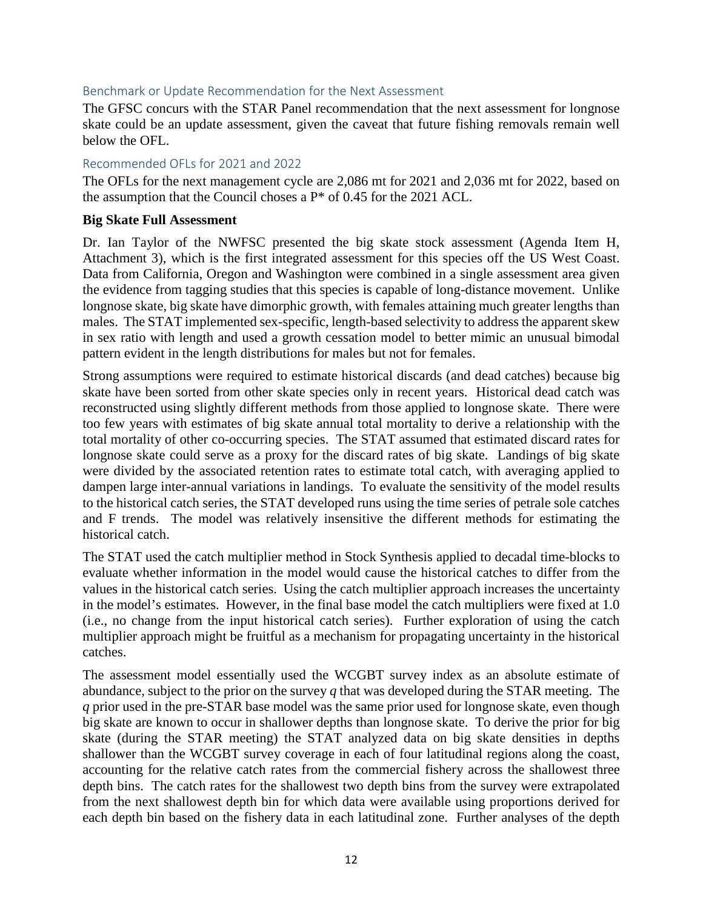#### Benchmark or Update Recommendation for the Next Assessment

The GFSC concurs with the STAR Panel recommendation that the next assessment for longnose skate could be an update assessment, given the caveat that future fishing removals remain well below the OFL.

#### Recommended OFLs for 2021 and 2022

The OFLs for the next management cycle are 2,086 mt for 2021 and 2,036 mt for 2022, based on the assumption that the Council choses a  $P^*$  of 0.45 for the 2021 ACL.

#### **Big Skate Full Assessment**

Dr. Ian Taylor of the NWFSC presented the big skate stock assessment (Agenda Item H, Attachment 3), which is the first integrated assessment for this species off the US West Coast. Data from California, Oregon and Washington were combined in a single assessment area given the evidence from tagging studies that this species is capable of long-distance movement. Unlike longnose skate, big skate have dimorphic growth, with females attaining much greater lengths than males. The STAT implemented sex-specific, length-based selectivity to address the apparent skew in sex ratio with length and used a growth cessation model to better mimic an unusual bimodal pattern evident in the length distributions for males but not for females.

Strong assumptions were required to estimate historical discards (and dead catches) because big skate have been sorted from other skate species only in recent years. Historical dead catch was reconstructed using slightly different methods from those applied to longnose skate. There were too few years with estimates of big skate annual total mortality to derive a relationship with the total mortality of other co-occurring species. The STAT assumed that estimated discard rates for longnose skate could serve as a proxy for the discard rates of big skate. Landings of big skate were divided by the associated retention rates to estimate total catch, with averaging applied to dampen large inter-annual variations in landings. To evaluate the sensitivity of the model results to the historical catch series, the STAT developed runs using the time series of petrale sole catches and F trends. The model was relatively insensitive the different methods for estimating the historical catch.

The STAT used the catch multiplier method in Stock Synthesis applied to decadal time-blocks to evaluate whether information in the model would cause the historical catches to differ from the values in the historical catch series. Using the catch multiplier approach increases the uncertainty in the model's estimates. However, in the final base model the catch multipliers were fixed at 1.0 (i.e., no change from the input historical catch series). Further exploration of using the catch multiplier approach might be fruitful as a mechanism for propagating uncertainty in the historical catches.

The assessment model essentially used the WCGBT survey index as an absolute estimate of abundance, subject to the prior on the survey *q* that was developed during the STAR meeting. The *q* prior used in the pre-STAR base model was the same prior used for longnose skate, even though big skate are known to occur in shallower depths than longnose skate. To derive the prior for big skate (during the STAR meeting) the STAT analyzed data on big skate densities in depths shallower than the WCGBT survey coverage in each of four latitudinal regions along the coast, accounting for the relative catch rates from the commercial fishery across the shallowest three depth bins. The catch rates for the shallowest two depth bins from the survey were extrapolated from the next shallowest depth bin for which data were available using proportions derived for each depth bin based on the fishery data in each latitudinal zone. Further analyses of the depth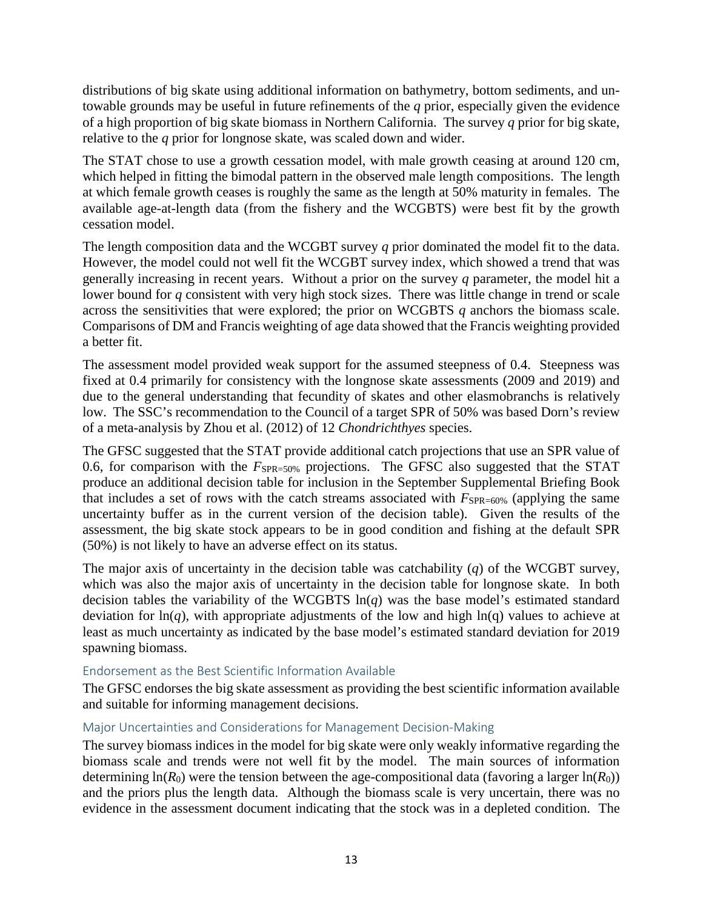distributions of big skate using additional information on bathymetry, bottom sediments, and untowable grounds may be useful in future refinements of the *q* prior, especially given the evidence of a high proportion of big skate biomass in Northern California. The survey *q* prior for big skate, relative to the *q* prior for longnose skate, was scaled down and wider.

The STAT chose to use a growth cessation model, with male growth ceasing at around 120 cm, which helped in fitting the bimodal pattern in the observed male length compositions. The length at which female growth ceases is roughly the same as the length at 50% maturity in females. The available age-at-length data (from the fishery and the WCGBTS) were best fit by the growth cessation model.

The length composition data and the WCGBT survey *q* prior dominated the model fit to the data. However, the model could not well fit the WCGBT survey index, which showed a trend that was generally increasing in recent years. Without a prior on the survey *q* parameter, the model hit a lower bound for *q* consistent with very high stock sizes. There was little change in trend or scale across the sensitivities that were explored; the prior on WCGBTS *q* anchors the biomass scale. Comparisons of DM and Francis weighting of age data showed that the Francis weighting provided a better fit.

The assessment model provided weak support for the assumed steepness of 0.4. Steepness was fixed at 0.4 primarily for consistency with the longnose skate assessments (2009 and 2019) and due to the general understanding that fecundity of skates and other elasmobranchs is relatively low. The SSC's recommendation to the Council of a target SPR of 50% was based Dorn's review of a meta-analysis by Zhou et al. (2012) of 12 *Chondrichthyes* species.

The GFSC suggested that the STAT provide additional catch projections that use an SPR value of 0.6, for comparison with the  $F_{SPR=50\%}$  projections. The GFSC also suggested that the STAT produce an additional decision table for inclusion in the September Supplemental Briefing Book that includes a set of rows with the catch streams associated with  $F_{SPR=60\%}$  (applying the same uncertainty buffer as in the current version of the decision table). Given the results of the assessment, the big skate stock appears to be in good condition and fishing at the default SPR (50%) is not likely to have an adverse effect on its status.

The major axis of uncertainty in the decision table was catchability (*q*) of the WCGBT survey, which was also the major axis of uncertainty in the decision table for longnose skate. In both decision tables the variability of the WCGBTS ln(*q*) was the base model's estimated standard deviation for  $ln(q)$ , with appropriate adjustments of the low and high  $ln(q)$  values to achieve at least as much uncertainty as indicated by the base model's estimated standard deviation for 2019 spawning biomass.

# Endorsement as the Best Scientific Information Available

The GFSC endorses the big skate assessment as providing the best scientific information available and suitable for informing management decisions.

# Major Uncertainties and Considerations for Management Decision-Making

The survey biomass indices in the model for big skate were only weakly informative regarding the biomass scale and trends were not well fit by the model. The main sources of information determining  $ln(R_0)$  were the tension between the age-compositional data (favoring a larger  $ln(R_0)$ ) and the priors plus the length data. Although the biomass scale is very uncertain, there was no evidence in the assessment document indicating that the stock was in a depleted condition. The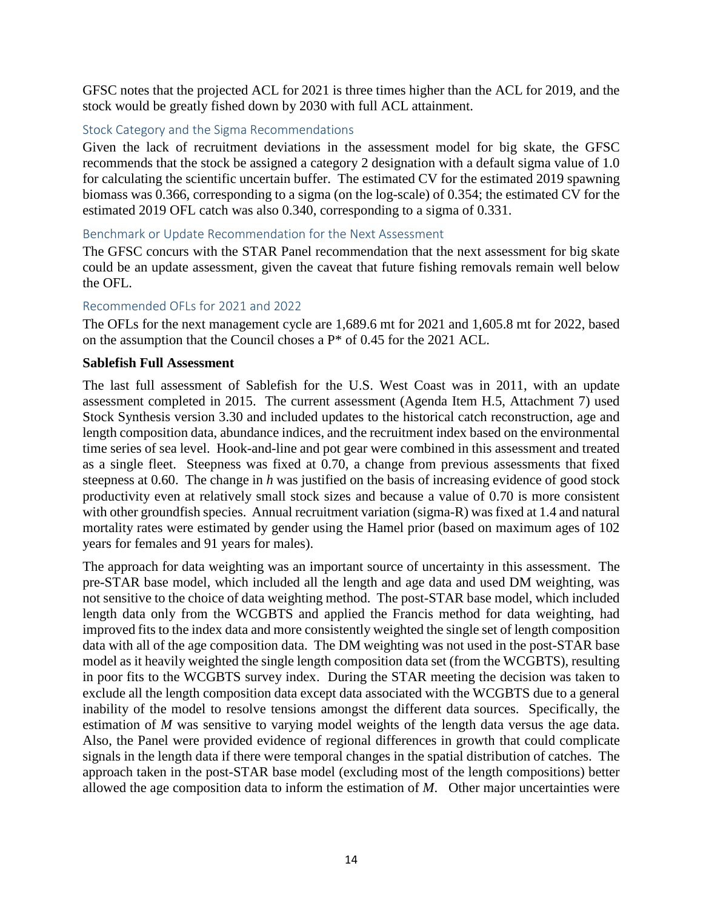GFSC notes that the projected ACL for 2021 is three times higher than the ACL for 2019, and the stock would be greatly fished down by 2030 with full ACL attainment.

# Stock Category and the Sigma Recommendations

Given the lack of recruitment deviations in the assessment model for big skate, the GFSC recommends that the stock be assigned a category 2 designation with a default sigma value of 1.0 for calculating the scientific uncertain buffer. The estimated CV for the estimated 2019 spawning biomass was 0.366, corresponding to a sigma (on the log-scale) of 0.354; the estimated CV for the estimated 2019 OFL catch was also 0.340, corresponding to a sigma of 0.331.

#### Benchmark or Update Recommendation for the Next Assessment

The GFSC concurs with the STAR Panel recommendation that the next assessment for big skate could be an update assessment, given the caveat that future fishing removals remain well below the OFL.

#### Recommended OFLs for 2021 and 2022

The OFLs for the next management cycle are 1,689.6 mt for 2021 and 1,605.8 mt for 2022, based on the assumption that the Council choses a P\* of 0.45 for the 2021 ACL.

#### **Sablefish Full Assessment**

The last full assessment of Sablefish for the U.S. West Coast was in 2011, with an update assessment completed in 2015. The current assessment (Agenda Item H.5, Attachment 7) used Stock Synthesis version 3.30 and included updates to the historical catch reconstruction, age and length composition data, abundance indices, and the recruitment index based on the environmental time series of sea level. Hook-and-line and pot gear were combined in this assessment and treated as a single fleet. Steepness was fixed at 0.70, a change from previous assessments that fixed steepness at 0.60. The change in *h* was justified on the basis of increasing evidence of good stock productivity even at relatively small stock sizes and because a value of 0.70 is more consistent with other ground fish species. Annual recruitment variation (sigma-R) was fixed at 1.4 and natural mortality rates were estimated by gender using the Hamel prior (based on maximum ages of 102 years for females and 91 years for males).

The approach for data weighting was an important source of uncertainty in this assessment. The pre-STAR base model, which included all the length and age data and used DM weighting, was not sensitive to the choice of data weighting method. The post-STAR base model, which included length data only from the WCGBTS and applied the Francis method for data weighting, had improved fits to the index data and more consistently weighted the single set of length composition data with all of the age composition data. The DM weighting was not used in the post-STAR base model as it heavily weighted the single length composition data set (from the WCGBTS), resulting in poor fits to the WCGBTS survey index. During the STAR meeting the decision was taken to exclude all the length composition data except data associated with the WCGBTS due to a general inability of the model to resolve tensions amongst the different data sources. Specifically, the estimation of *M* was sensitive to varying model weights of the length data versus the age data. Also, the Panel were provided evidence of regional differences in growth that could complicate signals in the length data if there were temporal changes in the spatial distribution of catches. The approach taken in the post-STAR base model (excluding most of the length compositions) better allowed the age composition data to inform the estimation of *M*. Other major uncertainties were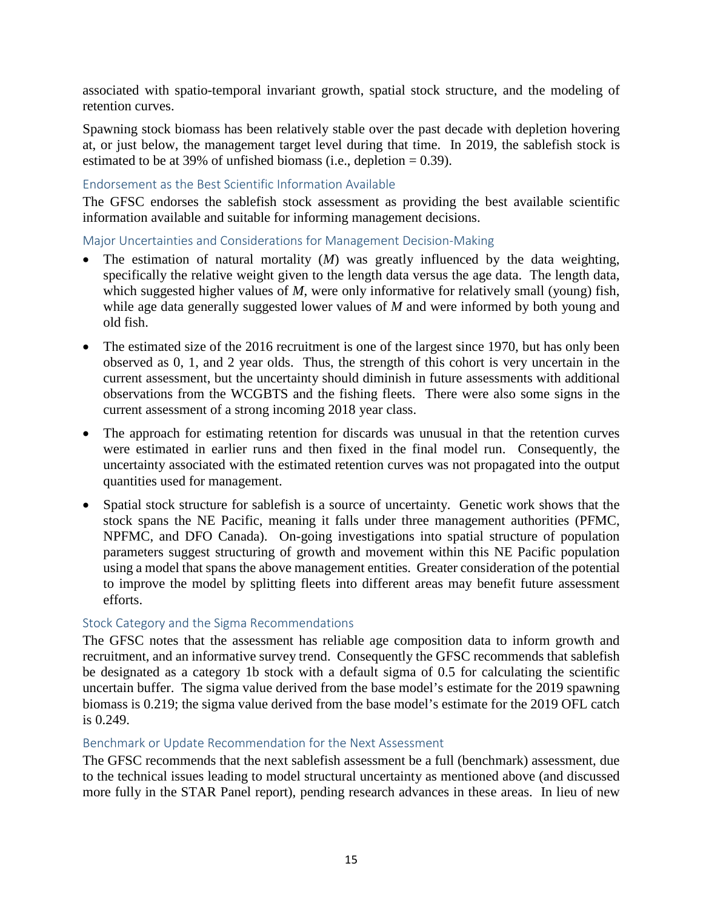associated with spatio-temporal invariant growth, spatial stock structure, and the modeling of retention curves.

Spawning stock biomass has been relatively stable over the past decade with depletion hovering at, or just below, the management target level during that time. In 2019, the sablefish stock is estimated to be at 39% of unfished biomass (i.e., depletion  $= 0.39$ ).

### Endorsement as the Best Scientific Information Available

The GFSC endorses the sablefish stock assessment as providing the best available scientific information available and suitable for informing management decisions.

Major Uncertainties and Considerations for Management Decision-Making

- The estimation of natural mortality (*M*) was greatly influenced by the data weighting, specifically the relative weight given to the length data versus the age data. The length data, which suggested higher values of *M*, were only informative for relatively small (young) fish, while age data generally suggested lower values of *M* and were informed by both young and old fish.
- The estimated size of the 2016 recruitment is one of the largest since 1970, but has only been observed as 0, 1, and 2 year olds. Thus, the strength of this cohort is very uncertain in the current assessment, but the uncertainty should diminish in future assessments with additional observations from the WCGBTS and the fishing fleets. There were also some signs in the current assessment of a strong incoming 2018 year class.
- The approach for estimating retention for discards was unusual in that the retention curves were estimated in earlier runs and then fixed in the final model run. Consequently, the uncertainty associated with the estimated retention curves was not propagated into the output quantities used for management.
- Spatial stock structure for sablefish is a source of uncertainty. Genetic work shows that the stock spans the NE Pacific, meaning it falls under three management authorities (PFMC, NPFMC, and DFO Canada). On-going investigations into spatial structure of population parameters suggest structuring of growth and movement within this NE Pacific population using a model that spans the above management entities. Greater consideration of the potential to improve the model by splitting fleets into different areas may benefit future assessment efforts.

#### Stock Category and the Sigma Recommendations

The GFSC notes that the assessment has reliable age composition data to inform growth and recruitment, and an informative survey trend. Consequently the GFSC recommends that sablefish be designated as a category 1b stock with a default sigma of 0.5 for calculating the scientific uncertain buffer. The sigma value derived from the base model's estimate for the 2019 spawning biomass is 0.219; the sigma value derived from the base model's estimate for the 2019 OFL catch is 0.249.

#### Benchmark or Update Recommendation for the Next Assessment

The GFSC recommends that the next sablefish assessment be a full (benchmark) assessment, due to the technical issues leading to model structural uncertainty as mentioned above (and discussed more fully in the STAR Panel report), pending research advances in these areas. In lieu of new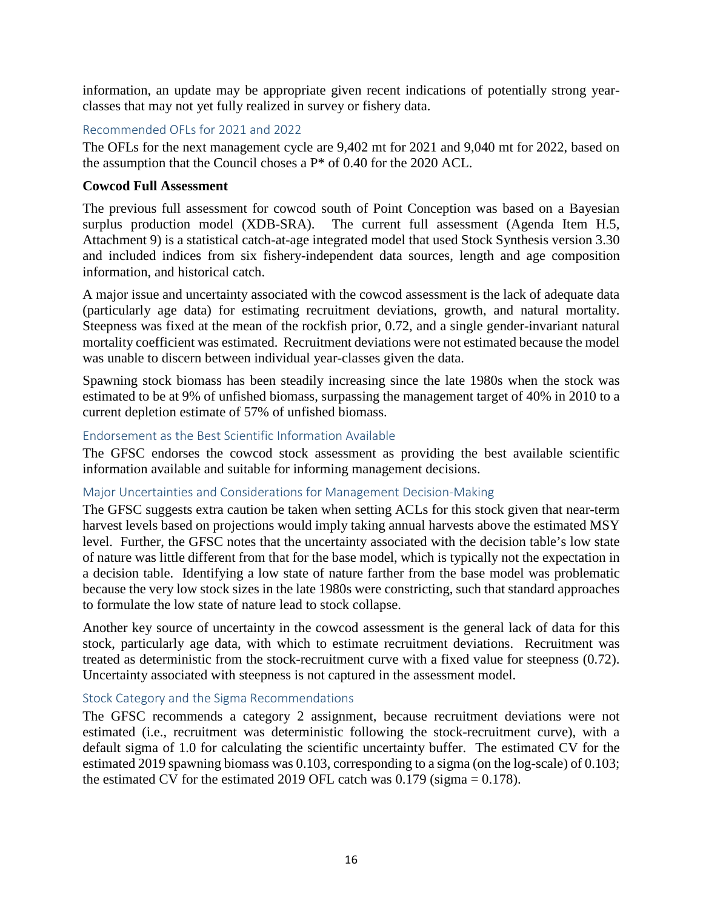information, an update may be appropriate given recent indications of potentially strong yearclasses that may not yet fully realized in survey or fishery data.

# Recommended OFLs for 2021 and 2022

The OFLs for the next management cycle are 9,402 mt for 2021 and 9,040 mt for 2022, based on the assumption that the Council choses a P\* of 0.40 for the 2020 ACL.

### **Cowcod Full Assessment**

The previous full assessment for cowcod south of Point Conception was based on a Bayesian surplus production model (XDB-SRA). The current full assessment (Agenda Item H.5, Attachment 9) is a statistical catch-at-age integrated model that used Stock Synthesis version 3.30 and included indices from six fishery-independent data sources, length and age composition information, and historical catch.

A major issue and uncertainty associated with the cowcod assessment is the lack of adequate data (particularly age data) for estimating recruitment deviations, growth, and natural mortality. Steepness was fixed at the mean of the rockfish prior, 0.72, and a single gender-invariant natural mortality coefficient was estimated. Recruitment deviations were not estimated because the model was unable to discern between individual year-classes given the data.

Spawning stock biomass has been steadily increasing since the late 1980s when the stock was estimated to be at 9% of unfished biomass, surpassing the management target of 40% in 2010 to a current depletion estimate of 57% of unfished biomass.

#### Endorsement as the Best Scientific Information Available

The GFSC endorses the cowcod stock assessment as providing the best available scientific information available and suitable for informing management decisions.

#### Major Uncertainties and Considerations for Management Decision-Making

The GFSC suggests extra caution be taken when setting ACLs for this stock given that near-term harvest levels based on projections would imply taking annual harvests above the estimated MSY level. Further, the GFSC notes that the uncertainty associated with the decision table's low state of nature was little different from that for the base model, which is typically not the expectation in a decision table. Identifying a low state of nature farther from the base model was problematic because the very low stock sizes in the late 1980s were constricting, such that standard approaches to formulate the low state of nature lead to stock collapse.

Another key source of uncertainty in the cowcod assessment is the general lack of data for this stock, particularly age data, with which to estimate recruitment deviations. Recruitment was treated as deterministic from the stock-recruitment curve with a fixed value for steepness (0.72). Uncertainty associated with steepness is not captured in the assessment model.

#### Stock Category and the Sigma Recommendations

The GFSC recommends a category 2 assignment, because recruitment deviations were not estimated (i.e., recruitment was deterministic following the stock-recruitment curve), with a default sigma of 1.0 for calculating the scientific uncertainty buffer. The estimated CV for the estimated 2019 spawning biomass was 0.103, corresponding to a sigma (on the log-scale) of 0.103; the estimated CV for the estimated 2019 OFL catch was  $0.179$  (sigma =  $0.178$ ).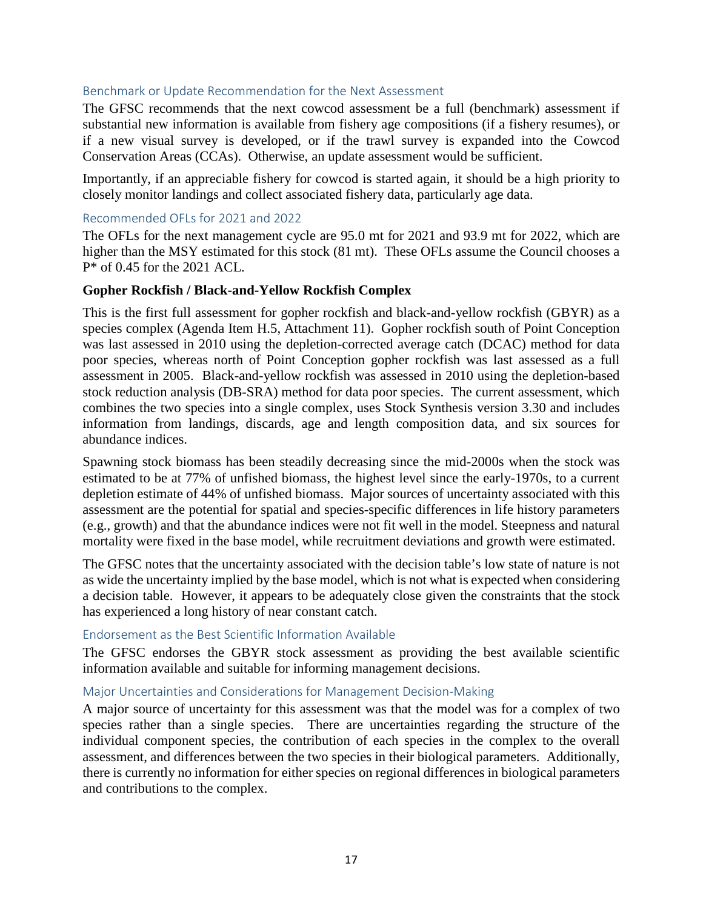#### Benchmark or Update Recommendation for the Next Assessment

The GFSC recommends that the next cowcod assessment be a full (benchmark) assessment if substantial new information is available from fishery age compositions (if a fishery resumes), or if a new visual survey is developed, or if the trawl survey is expanded into the Cowcod Conservation Areas (CCAs). Otherwise, an update assessment would be sufficient.

Importantly, if an appreciable fishery for cowcod is started again, it should be a high priority to closely monitor landings and collect associated fishery data, particularly age data.

#### Recommended OFLs for 2021 and 2022

The OFLs for the next management cycle are 95.0 mt for 2021 and 93.9 mt for 2022, which are higher than the MSY estimated for this stock (81 mt). These OFLs assume the Council chooses a P\* of 0.45 for the 2021 ACL.

#### **Gopher Rockfish / Black-and-Yellow Rockfish Complex**

This is the first full assessment for gopher rockfish and black-and-yellow rockfish (GBYR) as a species complex (Agenda Item H.5, Attachment 11). Gopher rockfish south of Point Conception was last assessed in 2010 using the depletion-corrected average catch (DCAC) method for data poor species, whereas north of Point Conception gopher rockfish was last assessed as a full assessment in 2005. Black-and-yellow rockfish was assessed in 2010 using the depletion-based stock reduction analysis (DB-SRA) method for data poor species. The current assessment, which combines the two species into a single complex, uses Stock Synthesis version 3.30 and includes information from landings, discards, age and length composition data, and six sources for abundance indices.

Spawning stock biomass has been steadily decreasing since the mid-2000s when the stock was estimated to be at 77% of unfished biomass, the highest level since the early-1970s, to a current depletion estimate of 44% of unfished biomass. Major sources of uncertainty associated with this assessment are the potential for spatial and species-specific differences in life history parameters (e.g., growth) and that the abundance indices were not fit well in the model. Steepness and natural mortality were fixed in the base model, while recruitment deviations and growth were estimated.

The GFSC notes that the uncertainty associated with the decision table's low state of nature is not as wide the uncertainty implied by the base model, which is not what is expected when considering a decision table. However, it appears to be adequately close given the constraints that the stock has experienced a long history of near constant catch.

#### Endorsement as the Best Scientific Information Available

The GFSC endorses the GBYR stock assessment as providing the best available scientific information available and suitable for informing management decisions.

#### Major Uncertainties and Considerations for Management Decision-Making

A major source of uncertainty for this assessment was that the model was for a complex of two species rather than a single species. There are uncertainties regarding the structure of the individual component species, the contribution of each species in the complex to the overall assessment, and differences between the two species in their biological parameters. Additionally, there is currently no information for either species on regional differences in biological parameters and contributions to the complex.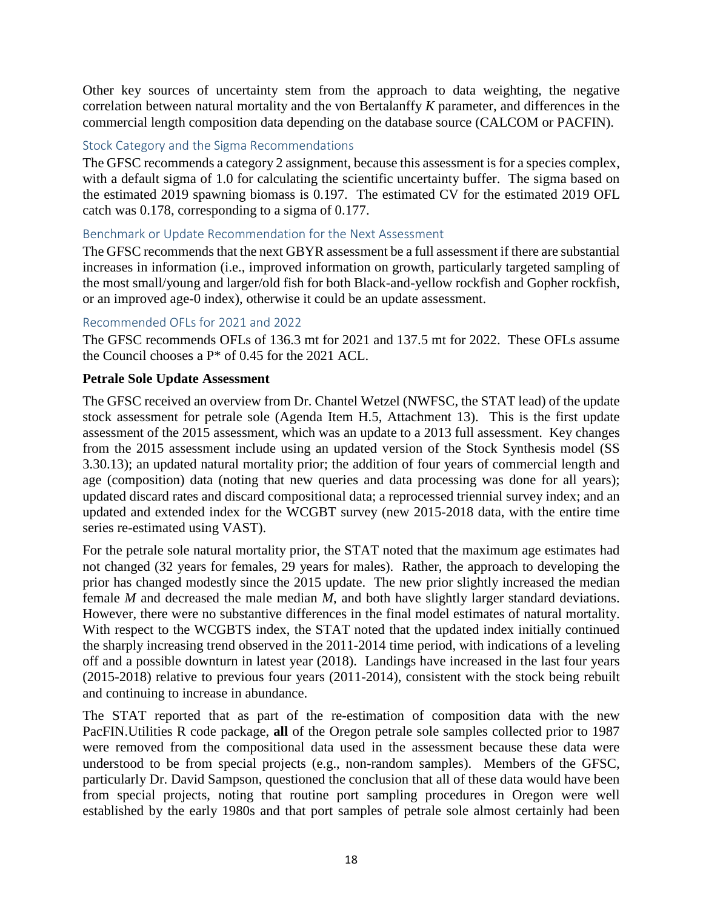Other key sources of uncertainty stem from the approach to data weighting, the negative correlation between natural mortality and the von Bertalanffy *K* parameter, and differences in the commercial length composition data depending on the database source (CALCOM or PACFIN).

# Stock Category and the Sigma Recommendations

The GFSC recommends a category 2 assignment, because this assessment is for a species complex, with a default sigma of 1.0 for calculating the scientific uncertainty buffer. The sigma based on the estimated 2019 spawning biomass is 0.197. The estimated CV for the estimated 2019 OFL catch was 0.178, corresponding to a sigma of 0.177.

#### Benchmark or Update Recommendation for the Next Assessment

The GFSC recommends that the next GBYR assessment be a full assessment if there are substantial increases in information (i.e., improved information on growth, particularly targeted sampling of the most small/young and larger/old fish for both Black-and-yellow rockfish and Gopher rockfish, or an improved age-0 index), otherwise it could be an update assessment.

#### Recommended OFLs for 2021 and 2022

The GFSC recommends OFLs of 136.3 mt for 2021 and 137.5 mt for 2022. These OFLs assume the Council chooses a P\* of 0.45 for the 2021 ACL.

#### **Petrale Sole Update Assessment**

The GFSC received an overview from Dr. Chantel Wetzel (NWFSC, the STAT lead) of the update stock assessment for petrale sole (Agenda Item H.5, Attachment 13). This is the first update assessment of the 2015 assessment, which was an update to a 2013 full assessment. Key changes from the 2015 assessment include using an updated version of the Stock Synthesis model (SS 3.30.13); an updated natural mortality prior; the addition of four years of commercial length and age (composition) data (noting that new queries and data processing was done for all years); updated discard rates and discard compositional data; a reprocessed triennial survey index; and an updated and extended index for the WCGBT survey (new 2015-2018 data, with the entire time series re-estimated using VAST).

For the petrale sole natural mortality prior, the STAT noted that the maximum age estimates had not changed (32 years for females, 29 years for males). Rather, the approach to developing the prior has changed modestly since the 2015 update. The new prior slightly increased the median female *M* and decreased the male median *M*, and both have slightly larger standard deviations. However, there were no substantive differences in the final model estimates of natural mortality. With respect to the WCGBTS index, the STAT noted that the updated index initially continued the sharply increasing trend observed in the 2011-2014 time period, with indications of a leveling off and a possible downturn in latest year (2018). Landings have increased in the last four years (2015-2018) relative to previous four years (2011-2014), consistent with the stock being rebuilt and continuing to increase in abundance.

The STAT reported that as part of the re-estimation of composition data with the new PacFIN.Utilities R code package, **all** of the Oregon petrale sole samples collected prior to 1987 were removed from the compositional data used in the assessment because these data were understood to be from special projects (e.g., non-random samples). Members of the GFSC, particularly Dr. David Sampson, questioned the conclusion that all of these data would have been from special projects, noting that routine port sampling procedures in Oregon were well established by the early 1980s and that port samples of petrale sole almost certainly had been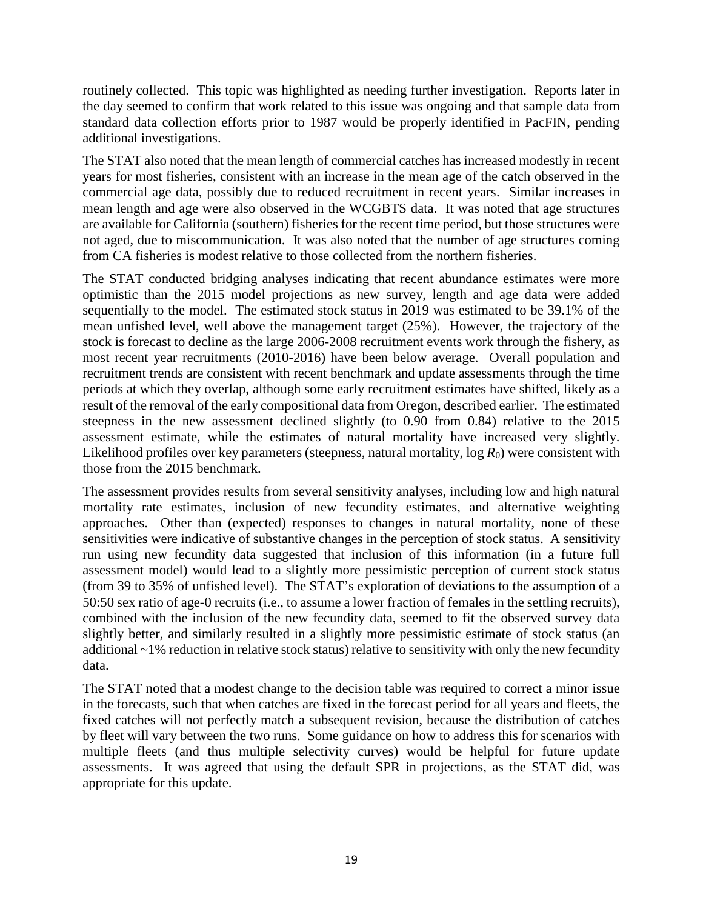routinely collected. This topic was highlighted as needing further investigation. Reports later in the day seemed to confirm that work related to this issue was ongoing and that sample data from standard data collection efforts prior to 1987 would be properly identified in PacFIN, pending additional investigations.

The STAT also noted that the mean length of commercial catches has increased modestly in recent years for most fisheries, consistent with an increase in the mean age of the catch observed in the commercial age data, possibly due to reduced recruitment in recent years. Similar increases in mean length and age were also observed in the WCGBTS data. It was noted that age structures are available for California (southern) fisheries for the recent time period, but those structures were not aged, due to miscommunication. It was also noted that the number of age structures coming from CA fisheries is modest relative to those collected from the northern fisheries.

The STAT conducted bridging analyses indicating that recent abundance estimates were more optimistic than the 2015 model projections as new survey, length and age data were added sequentially to the model. The estimated stock status in 2019 was estimated to be 39.1% of the mean unfished level, well above the management target (25%). However, the trajectory of the stock is forecast to decline as the large 2006-2008 recruitment events work through the fishery, as most recent year recruitments (2010-2016) have been below average. Overall population and recruitment trends are consistent with recent benchmark and update assessments through the time periods at which they overlap, although some early recruitment estimates have shifted, likely as a result of the removal of the early compositional data from Oregon, described earlier. The estimated steepness in the new assessment declined slightly (to 0.90 from 0.84) relative to the 2015 assessment estimate, while the estimates of natural mortality have increased very slightly. Likelihood profiles over key parameters (steepness, natural mortality,  $\log R_0$ ) were consistent with those from the 2015 benchmark.

The assessment provides results from several sensitivity analyses, including low and high natural mortality rate estimates, inclusion of new fecundity estimates, and alternative weighting approaches. Other than (expected) responses to changes in natural mortality, none of these sensitivities were indicative of substantive changes in the perception of stock status. A sensitivity run using new fecundity data suggested that inclusion of this information (in a future full assessment model) would lead to a slightly more pessimistic perception of current stock status (from 39 to 35% of unfished level). The STAT's exploration of deviations to the assumption of a 50:50 sex ratio of age-0 recruits (i.e., to assume a lower fraction of females in the settling recruits), combined with the inclusion of the new fecundity data, seemed to fit the observed survey data slightly better, and similarly resulted in a slightly more pessimistic estimate of stock status (an additional ~1% reduction in relative stock status) relative to sensitivity with only the new fecundity data.

The STAT noted that a modest change to the decision table was required to correct a minor issue in the forecasts, such that when catches are fixed in the forecast period for all years and fleets, the fixed catches will not perfectly match a subsequent revision, because the distribution of catches by fleet will vary between the two runs. Some guidance on how to address this for scenarios with multiple fleets (and thus multiple selectivity curves) would be helpful for future update assessments. It was agreed that using the default SPR in projections, as the STAT did, was appropriate for this update.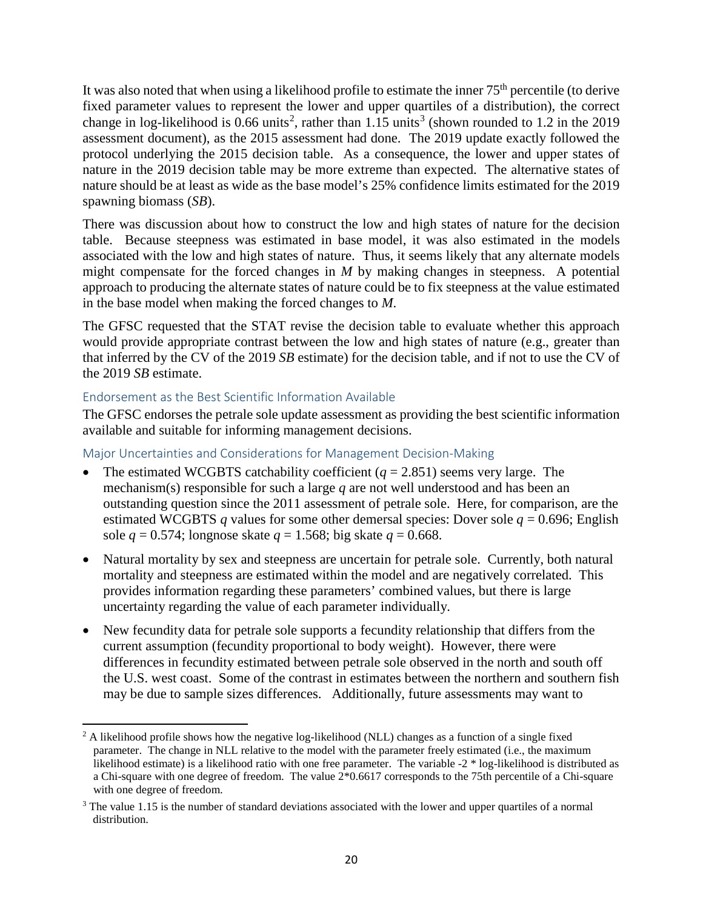It was also noted that when using a likelihood profile to estimate the inner 75<sup>th</sup> percentile (to derive fixed parameter values to represent the lower and upper quartiles of a distribution), the correct change in log-likelihood is 0.66 units<sup>[2](#page-19-0)</sup>, rather than 1.15 units<sup>[3](#page-19-1)</sup> (shown rounded to 1.2 in the 2019 assessment document), as the 2015 assessment had done. The 2019 update exactly followed the protocol underlying the 2015 decision table. As a consequence, the lower and upper states of nature in the 2019 decision table may be more extreme than expected. The alternative states of nature should be at least as wide as the base model's 25% confidence limits estimated for the 2019 spawning biomass (*SB*).

There was discussion about how to construct the low and high states of nature for the decision table. Because steepness was estimated in base model, it was also estimated in the models associated with the low and high states of nature. Thus, it seems likely that any alternate models might compensate for the forced changes in *M* by making changes in steepness. A potential approach to producing the alternate states of nature could be to fix steepness at the value estimated in the base model when making the forced changes to *M*.

The GFSC requested that the STAT revise the decision table to evaluate whether this approach would provide appropriate contrast between the low and high states of nature (e.g., greater than that inferred by the CV of the 2019 *SB* estimate) for the decision table, and if not to use the CV of the 2019 *SB* estimate.

## Endorsement as the Best Scientific Information Available

l

The GFSC endorses the petrale sole update assessment as providing the best scientific information available and suitable for informing management decisions.

## Major Uncertainties and Considerations for Management Decision-Making

- The estimated WCGBTS catchability coefficient  $(q = 2.851)$  seems very large. The mechanism(s) responsible for such a large *q* are not well understood and has been an outstanding question since the 2011 assessment of petrale sole. Here, for comparison, are the estimated WCGBTS *q* values for some other demersal species: Dover sole  $q = 0.696$ ; English sole  $q = 0.574$ ; longnose skate  $q = 1.568$ ; big skate  $q = 0.668$ .
- Natural mortality by sex and steepness are uncertain for petrale sole. Currently, both natural mortality and steepness are estimated within the model and are negatively correlated. This provides information regarding these parameters' combined values, but there is large uncertainty regarding the value of each parameter individually.
- New fecundity data for petrale sole supports a fecundity relationship that differs from the current assumption (fecundity proportional to body weight). However, there were differences in fecundity estimated between petrale sole observed in the north and south off the U.S. west coast. Some of the contrast in estimates between the northern and southern fish may be due to sample sizes differences. Additionally, future assessments may want to

<span id="page-19-0"></span><sup>&</sup>lt;sup>2</sup> A likelihood profile shows how the negative log-likelihood (NLL) changes as a function of a single fixed parameter. The change in NLL relative to the model with the parameter freely estimated (i.e., the maximum likelihood estimate) is a likelihood ratio with one free parameter. The variable -2 \* log-likelihood is distributed as a Chi-square with one degree of freedom. The value 2\*0.6617 corresponds to the 75th percentile of a Chi-square with one degree of freedom.

<span id="page-19-1"></span><sup>&</sup>lt;sup>3</sup> The value 1.15 is the number of standard deviations associated with the lower and upper quartiles of a normal distribution.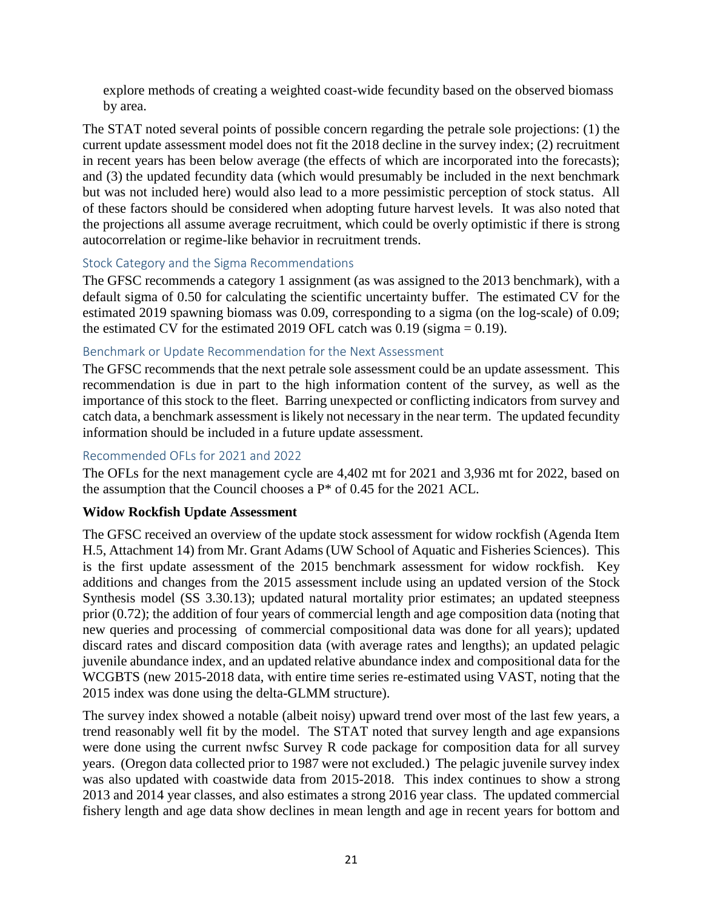explore methods of creating a weighted coast-wide fecundity based on the observed biomass by area.

The STAT noted several points of possible concern regarding the petrale sole projections: (1) the current update assessment model does not fit the 2018 decline in the survey index; (2) recruitment in recent years has been below average (the effects of which are incorporated into the forecasts); and (3) the updated fecundity data (which would presumably be included in the next benchmark but was not included here) would also lead to a more pessimistic perception of stock status. All of these factors should be considered when adopting future harvest levels. It was also noted that the projections all assume average recruitment, which could be overly optimistic if there is strong autocorrelation or regime-like behavior in recruitment trends.

# Stock Category and the Sigma Recommendations

The GFSC recommends a category 1 assignment (as was assigned to the 2013 benchmark), with a default sigma of 0.50 for calculating the scientific uncertainty buffer. The estimated CV for the estimated 2019 spawning biomass was 0.09, corresponding to a sigma (on the log-scale) of 0.09; the estimated CV for the estimated 2019 OFL catch was  $0.19$  (sigma = 0.19).

#### Benchmark or Update Recommendation for the Next Assessment

The GFSC recommends that the next petrale sole assessment could be an update assessment. This recommendation is due in part to the high information content of the survey, as well as the importance of this stock to the fleet. Barring unexpected or conflicting indicators from survey and catch data, a benchmark assessment is likely not necessary in the near term. The updated fecundity information should be included in a future update assessment.

### Recommended OFLs for 2021 and 2022

The OFLs for the next management cycle are 4,402 mt for 2021 and 3,936 mt for 2022, based on the assumption that the Council chooses a P\* of 0.45 for the 2021 ACL.

# **Widow Rockfish Update Assessment**

The GFSC received an overview of the update stock assessment for widow rockfish (Agenda Item H.5, Attachment 14) from Mr. Grant Adams (UW School of Aquatic and Fisheries Sciences). This is the first update assessment of the 2015 benchmark assessment for widow rockfish. Key additions and changes from the 2015 assessment include using an updated version of the Stock Synthesis model (SS 3.30.13); updated natural mortality prior estimates; an updated steepness prior (0.72); the addition of four years of commercial length and age composition data (noting that new queries and processing of commercial compositional data was done for all years); updated discard rates and discard composition data (with average rates and lengths); an updated pelagic juvenile abundance index, and an updated relative abundance index and compositional data for the WCGBTS (new 2015-2018 data, with entire time series re-estimated using VAST, noting that the 2015 index was done using the delta-GLMM structure).

The survey index showed a notable (albeit noisy) upward trend over most of the last few years, a trend reasonably well fit by the model. The STAT noted that survey length and age expansions were done using the current nwfsc Survey R code package for composition data for all survey years. (Oregon data collected prior to 1987 were not excluded.) The pelagic juvenile survey index was also updated with coastwide data from 2015-2018. This index continues to show a strong 2013 and 2014 year classes, and also estimates a strong 2016 year class. The updated commercial fishery length and age data show declines in mean length and age in recent years for bottom and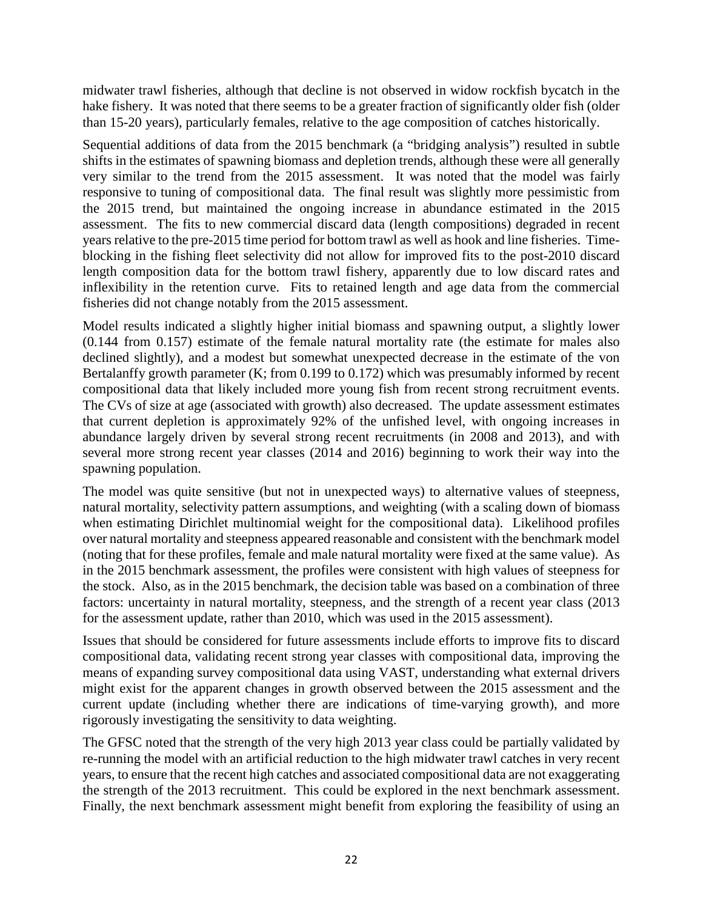midwater trawl fisheries, although that decline is not observed in widow rockfish bycatch in the hake fishery. It was noted that there seems to be a greater fraction of significantly older fish (older than 15-20 years), particularly females, relative to the age composition of catches historically.

Sequential additions of data from the 2015 benchmark (a "bridging analysis") resulted in subtle shifts in the estimates of spawning biomass and depletion trends, although these were all generally very similar to the trend from the 2015 assessment. It was noted that the model was fairly responsive to tuning of compositional data. The final result was slightly more pessimistic from the 2015 trend, but maintained the ongoing increase in abundance estimated in the 2015 assessment. The fits to new commercial discard data (length compositions) degraded in recent years relative to the pre-2015 time period for bottom trawl as well as hook and line fisheries. Timeblocking in the fishing fleet selectivity did not allow for improved fits to the post-2010 discard length composition data for the bottom trawl fishery, apparently due to low discard rates and inflexibility in the retention curve. Fits to retained length and age data from the commercial fisheries did not change notably from the 2015 assessment.

Model results indicated a slightly higher initial biomass and spawning output, a slightly lower (0.144 from 0.157) estimate of the female natural mortality rate (the estimate for males also declined slightly), and a modest but somewhat unexpected decrease in the estimate of the von Bertalanffy growth parameter (K; from 0.199 to 0.172) which was presumably informed by recent compositional data that likely included more young fish from recent strong recruitment events. The CVs of size at age (associated with growth) also decreased. The update assessment estimates that current depletion is approximately 92% of the unfished level, with ongoing increases in abundance largely driven by several strong recent recruitments (in 2008 and 2013), and with several more strong recent year classes (2014 and 2016) beginning to work their way into the spawning population.

The model was quite sensitive (but not in unexpected ways) to alternative values of steepness, natural mortality, selectivity pattern assumptions, and weighting (with a scaling down of biomass when estimating Dirichlet multinomial weight for the compositional data). Likelihood profiles over natural mortality and steepness appeared reasonable and consistent with the benchmark model (noting that for these profiles, female and male natural mortality were fixed at the same value). As in the 2015 benchmark assessment, the profiles were consistent with high values of steepness for the stock. Also, as in the 2015 benchmark, the decision table was based on a combination of three factors: uncertainty in natural mortality, steepness, and the strength of a recent year class (2013 for the assessment update, rather than 2010, which was used in the 2015 assessment).

Issues that should be considered for future assessments include efforts to improve fits to discard compositional data, validating recent strong year classes with compositional data, improving the means of expanding survey compositional data using VAST, understanding what external drivers might exist for the apparent changes in growth observed between the 2015 assessment and the current update (including whether there are indications of time-varying growth), and more rigorously investigating the sensitivity to data weighting.

The GFSC noted that the strength of the very high 2013 year class could be partially validated by re-running the model with an artificial reduction to the high midwater trawl catches in very recent years, to ensure that the recent high catches and associated compositional data are not exaggerating the strength of the 2013 recruitment. This could be explored in the next benchmark assessment. Finally, the next benchmark assessment might benefit from exploring the feasibility of using an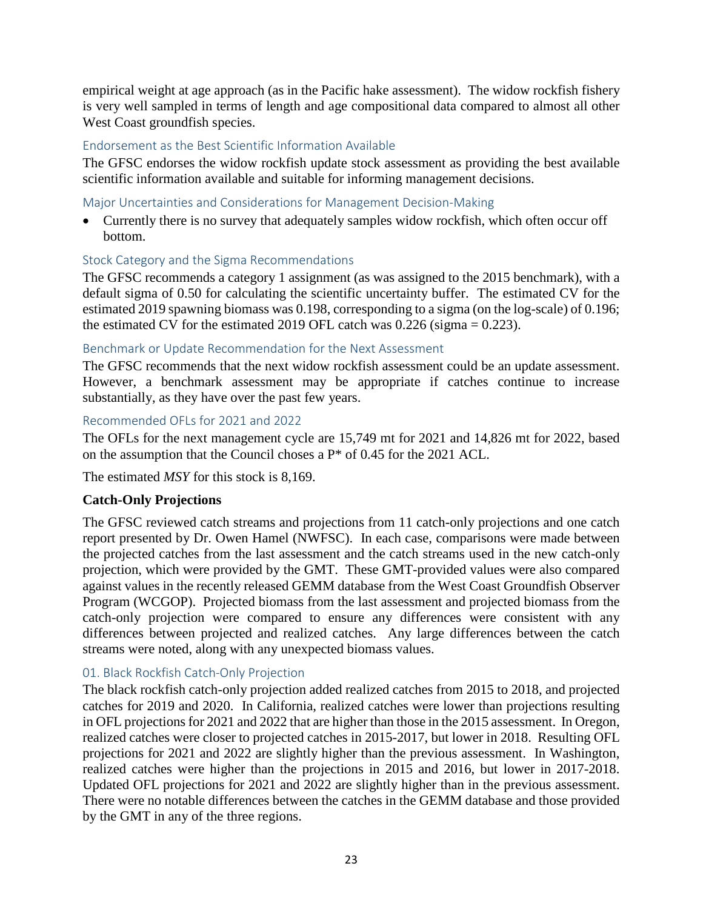empirical weight at age approach (as in the Pacific hake assessment). The widow rockfish fishery is very well sampled in terms of length and age compositional data compared to almost all other West Coast groundfish species.

# Endorsement as the Best Scientific Information Available

The GFSC endorses the widow rockfish update stock assessment as providing the best available scientific information available and suitable for informing management decisions.

# Major Uncertainties and Considerations for Management Decision-Making

• Currently there is no survey that adequately samples widow rockfish, which often occur off bottom.

# Stock Category and the Sigma Recommendations

The GFSC recommends a category 1 assignment (as was assigned to the 2015 benchmark), with a default sigma of 0.50 for calculating the scientific uncertainty buffer. The estimated CV for the estimated 2019 spawning biomass was 0.198, corresponding to a sigma (on the log-scale) of 0.196; the estimated CV for the estimated 2019 OFL catch was  $0.226$  (sigma = 0.223).

# Benchmark or Update Recommendation for the Next Assessment

The GFSC recommends that the next widow rockfish assessment could be an update assessment. However, a benchmark assessment may be appropriate if catches continue to increase substantially, as they have over the past few years.

## Recommended OFLs for 2021 and 2022

The OFLs for the next management cycle are 15,749 mt for 2021 and 14,826 mt for 2022, based on the assumption that the Council choses a P\* of 0.45 for the 2021 ACL.

The estimated *MSY* for this stock is 8,169.

# **Catch-Only Projections**

The GFSC reviewed catch streams and projections from 11 catch-only projections and one catch report presented by Dr. Owen Hamel (NWFSC). In each case, comparisons were made between the projected catches from the last assessment and the catch streams used in the new catch-only projection, which were provided by the GMT. These GMT-provided values were also compared against values in the recently released GEMM database from the West Coast Groundfish Observer Program (WCGOP). Projected biomass from the last assessment and projected biomass from the catch-only projection were compared to ensure any differences were consistent with any differences between projected and realized catches. Any large differences between the catch streams were noted, along with any unexpected biomass values.

# 01. Black Rockfish Catch-Only Projection

The black rockfish catch-only projection added realized catches from 2015 to 2018, and projected catches for 2019 and 2020. In California, realized catches were lower than projections resulting in OFL projections for 2021 and 2022 that are higher than those in the 2015 assessment. In Oregon, realized catches were closer to projected catches in 2015-2017, but lower in 2018. Resulting OFL projections for 2021 and 2022 are slightly higher than the previous assessment. In Washington, realized catches were higher than the projections in 2015 and 2016, but lower in 2017-2018. Updated OFL projections for 2021 and 2022 are slightly higher than in the previous assessment. There were no notable differences between the catches in the GEMM database and those provided by the GMT in any of the three regions.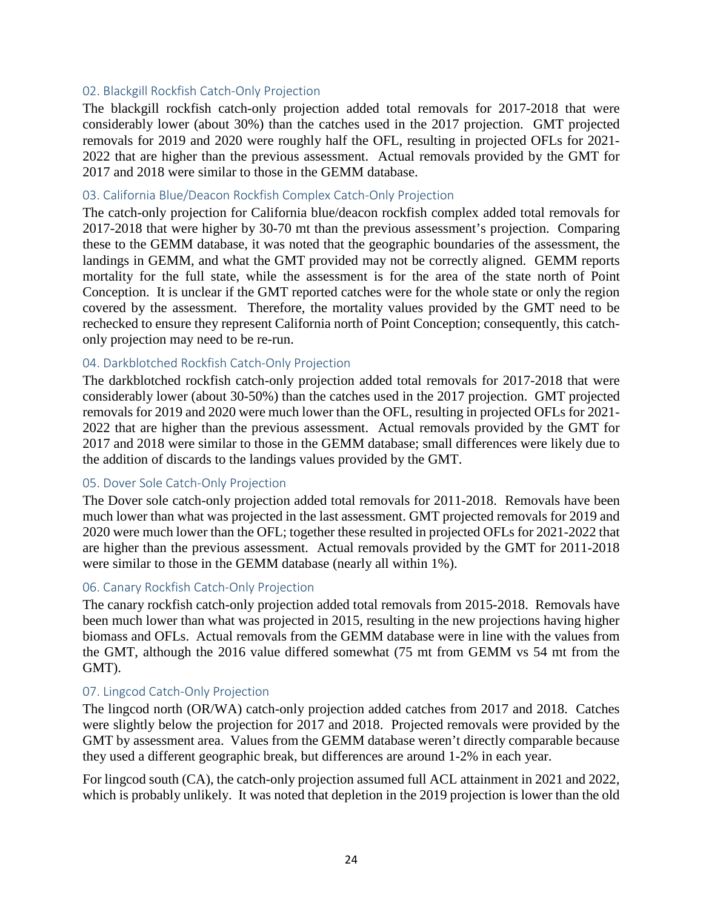### 02. Blackgill Rockfish Catch-Only Projection

The blackgill rockfish catch-only projection added total removals for 2017-2018 that were considerably lower (about 30%) than the catches used in the 2017 projection. GMT projected removals for 2019 and 2020 were roughly half the OFL, resulting in projected OFLs for 2021- 2022 that are higher than the previous assessment. Actual removals provided by the GMT for 2017 and 2018 were similar to those in the GEMM database.

#### 03. California Blue/Deacon Rockfish Complex Catch-Only Projection

The catch-only projection for California blue/deacon rockfish complex added total removals for 2017-2018 that were higher by 30-70 mt than the previous assessment's projection. Comparing these to the GEMM database, it was noted that the geographic boundaries of the assessment, the landings in GEMM, and what the GMT provided may not be correctly aligned. GEMM reports mortality for the full state, while the assessment is for the area of the state north of Point Conception. It is unclear if the GMT reported catches were for the whole state or only the region covered by the assessment. Therefore, the mortality values provided by the GMT need to be rechecked to ensure they represent California north of Point Conception; consequently, this catchonly projection may need to be re-run.

## 04. Darkblotched Rockfish Catch-Only Projection

The darkblotched rockfish catch-only projection added total removals for 2017-2018 that were considerably lower (about 30-50%) than the catches used in the 2017 projection. GMT projected removals for 2019 and 2020 were much lower than the OFL, resulting in projected OFLs for 2021- 2022 that are higher than the previous assessment. Actual removals provided by the GMT for 2017 and 2018 were similar to those in the GEMM database; small differences were likely due to the addition of discards to the landings values provided by the GMT.

#### 05. Dover Sole Catch-Only Projection

The Dover sole catch-only projection added total removals for 2011-2018. Removals have been much lower than what was projected in the last assessment. GMT projected removals for 2019 and 2020 were much lower than the OFL; together these resulted in projected OFLs for 2021-2022 that are higher than the previous assessment. Actual removals provided by the GMT for 2011-2018 were similar to those in the GEMM database (nearly all within 1%).

#### 06. Canary Rockfish Catch-Only Projection

The canary rockfish catch-only projection added total removals from 2015-2018. Removals have been much lower than what was projected in 2015, resulting in the new projections having higher biomass and OFLs. Actual removals from the GEMM database were in line with the values from the GMT, although the 2016 value differed somewhat (75 mt from GEMM vs 54 mt from the GMT).

#### 07. Lingcod Catch-Only Projection

The lingcod north (OR/WA) catch-only projection added catches from 2017 and 2018. Catches were slightly below the projection for 2017 and 2018. Projected removals were provided by the GMT by assessment area. Values from the GEMM database weren't directly comparable because they used a different geographic break, but differences are around 1-2% in each year.

For lingcod south (CA), the catch-only projection assumed full ACL attainment in 2021 and 2022, which is probably unlikely. It was noted that depletion in the 2019 projection is lower than the old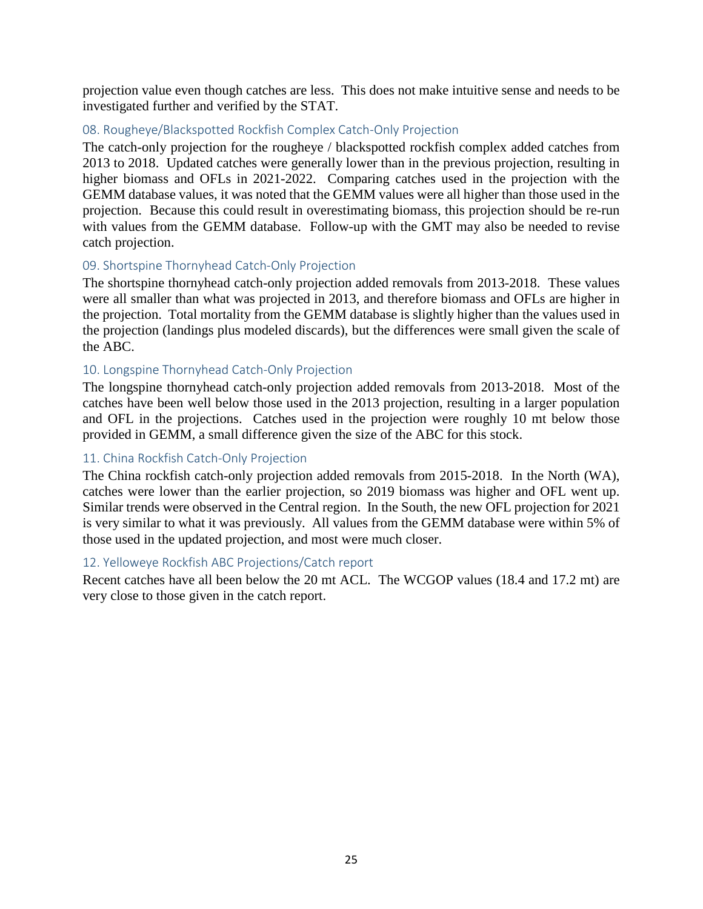projection value even though catches are less. This does not make intuitive sense and needs to be investigated further and verified by the STAT.

## 08. Rougheye/Blackspotted Rockfish Complex Catch-Only Projection

The catch-only projection for the rougheye / blackspotted rockfish complex added catches from 2013 to 2018. Updated catches were generally lower than in the previous projection, resulting in higher biomass and OFLs in 2021-2022. Comparing catches used in the projection with the GEMM database values, it was noted that the GEMM values were all higher than those used in the projection. Because this could result in overestimating biomass, this projection should be re-run with values from the GEMM database. Follow-up with the GMT may also be needed to revise catch projection.

#### 09. Shortspine Thornyhead Catch-Only Projection

The shortspine thornyhead catch-only projection added removals from 2013-2018. These values were all smaller than what was projected in 2013, and therefore biomass and OFLs are higher in the projection. Total mortality from the GEMM database is slightly higher than the values used in the projection (landings plus modeled discards), but the differences were small given the scale of the ABC.

## 10. Longspine Thornyhead Catch-Only Projection

The longspine thornyhead catch-only projection added removals from 2013-2018. Most of the catches have been well below those used in the 2013 projection, resulting in a larger population and OFL in the projections. Catches used in the projection were roughly 10 mt below those provided in GEMM, a small difference given the size of the ABC for this stock.

# 11. China Rockfish Catch-Only Projection

The China rockfish catch-only projection added removals from 2015-2018. In the North (WA), catches were lower than the earlier projection, so 2019 biomass was higher and OFL went up. Similar trends were observed in the Central region. In the South, the new OFL projection for 2021 is very similar to what it was previously. All values from the GEMM database were within 5% of those used in the updated projection, and most were much closer.

#### 12. Yelloweye Rockfish ABC Projections/Catch report

Recent catches have all been below the 20 mt ACL. The WCGOP values (18.4 and 17.2 mt) are very close to those given in the catch report.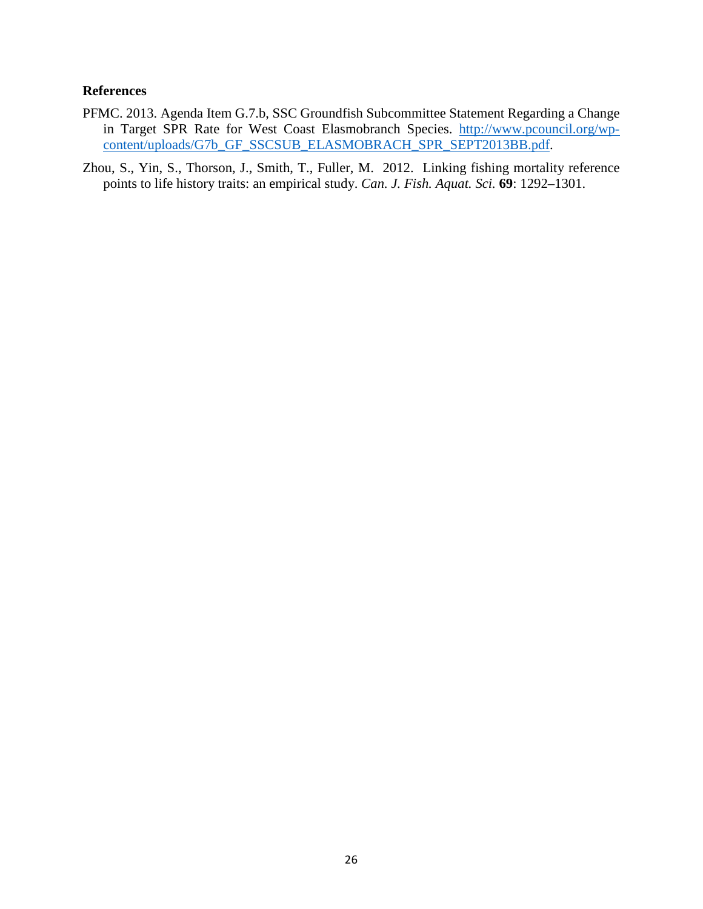#### **References**

- PFMC. 2013. Agenda Item G.7.b, SSC Groundfish Subcommittee Statement Regarding a Change in Target SPR Rate for West Coast Elasmobranch Species. [http://www.pcouncil.org/wp](http://www.pcouncil.org/wp-content/uploads/G7b_GF_SSCSUB_ELASMOBRACH_SPR_SEPT2013BB.pdf)[content/uploads/G7b\\_GF\\_SSCSUB\\_ELASMOBRACH\\_SPR\\_SEPT2013BB.pdf.](http://www.pcouncil.org/wp-content/uploads/G7b_GF_SSCSUB_ELASMOBRACH_SPR_SEPT2013BB.pdf)
- Zhou, S., Yin, S., Thorson, J., Smith, T., Fuller, M. 2012. Linking fishing mortality reference points to life history traits: an empirical study. *Can. J. Fish. Aquat. Sci.* **69**: 1292–1301.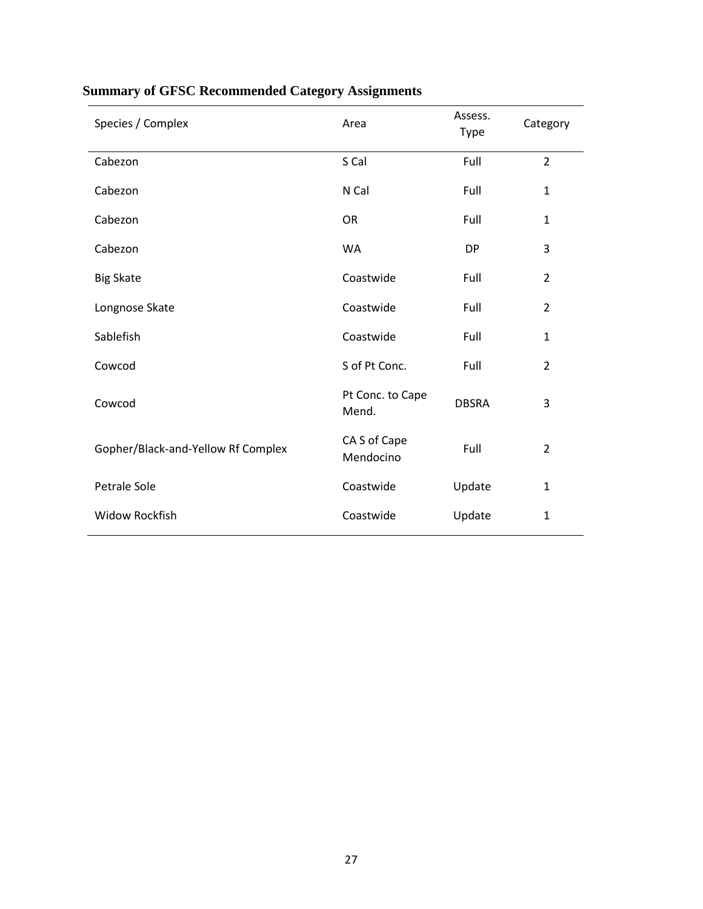| Species / Complex                  | Area                      | Assess.<br>Type | Category       |
|------------------------------------|---------------------------|-----------------|----------------|
| Cabezon                            | S Cal                     | Full            | $\overline{2}$ |
| Cabezon                            | N Cal                     | Full            | $\mathbf{1}$   |
| Cabezon                            | <b>OR</b>                 | Full            | $\mathbf{1}$   |
| Cabezon                            | WA                        | <b>DP</b>       | 3              |
| <b>Big Skate</b>                   | Coastwide                 | Full            | $\overline{2}$ |
| Longnose Skate                     | Coastwide                 | Full            | $\overline{2}$ |
| Sablefish                          | Coastwide                 | Full            | $\mathbf{1}$   |
| Cowcod                             | S of Pt Conc.             | Full            | $\overline{2}$ |
| Cowcod                             | Pt Conc. to Cape<br>Mend. | <b>DBSRA</b>    | 3              |
| Gopher/Black-and-Yellow Rf Complex | CA S of Cape<br>Mendocino | Full            | $\overline{2}$ |
| Petrale Sole                       | Coastwide                 | Update          | $\mathbf{1}$   |
| <b>Widow Rockfish</b>              | Coastwide                 | Update          | 1              |

# **Summary of GFSC Recommended Category Assignments**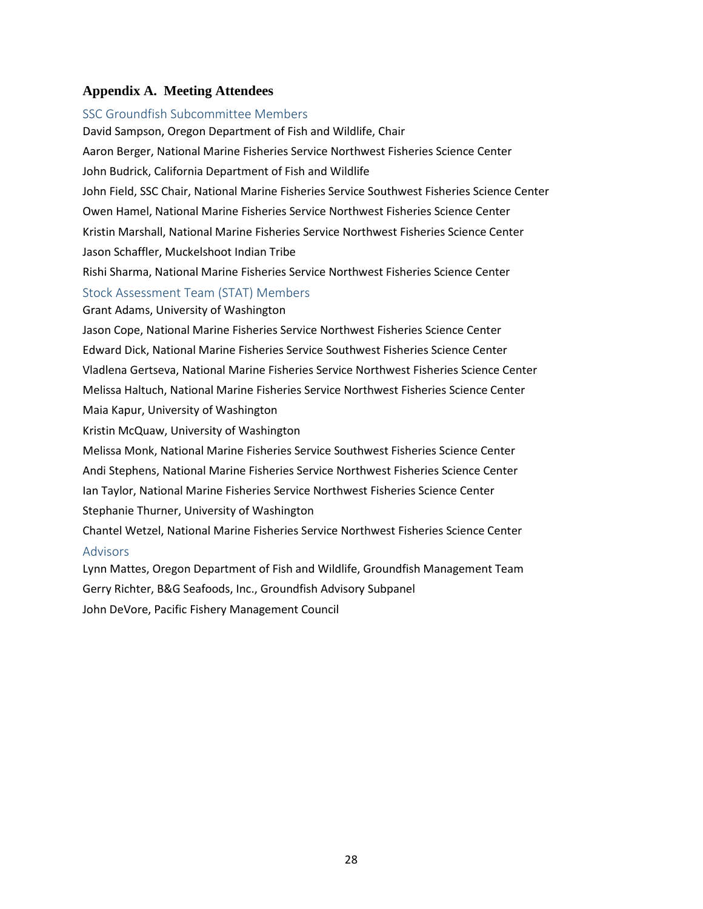#### **Appendix A. Meeting Attendees**

# SSC Groundfish Subcommittee Members David Sampson, Oregon Department of Fish and Wildlife, Chair Aaron Berger, National Marine Fisheries Service Northwest Fisheries Science Center John Budrick, California Department of Fish and Wildlife John Field, SSC Chair, National Marine Fisheries Service Southwest Fisheries Science Center Owen Hamel, National Marine Fisheries Service Northwest Fisheries Science Center Kristin Marshall, National Marine Fisheries Service Northwest Fisheries Science Center Jason Schaffler, Muckelshoot Indian Tribe Rishi Sharma, National Marine Fisheries Service Northwest Fisheries Science Center Stock Assessment Team (STAT) Members Grant Adams, University of Washington Jason Cope, National Marine Fisheries Service Northwest Fisheries Science Center Edward Dick, National Marine Fisheries Service Southwest Fisheries Science Center

Vladlena Gertseva, National Marine Fisheries Service Northwest Fisheries Science Center Melissa Haltuch, National Marine Fisheries Service Northwest Fisheries Science Center Maia Kapur, University of Washington

Kristin McQuaw, University of Washington

Melissa Monk, National Marine Fisheries Service Southwest Fisheries Science Center Andi Stephens, National Marine Fisheries Service Northwest Fisheries Science Center Ian Taylor, National Marine Fisheries Service Northwest Fisheries Science Center Stephanie Thurner, University of Washington

Chantel Wetzel, National Marine Fisheries Service Northwest Fisheries Science Center Advisors

Lynn Mattes, Oregon Department of Fish and Wildlife, Groundfish Management Team Gerry Richter, B&G Seafoods, Inc., Groundfish Advisory Subpanel John DeVore, Pacific Fishery Management Council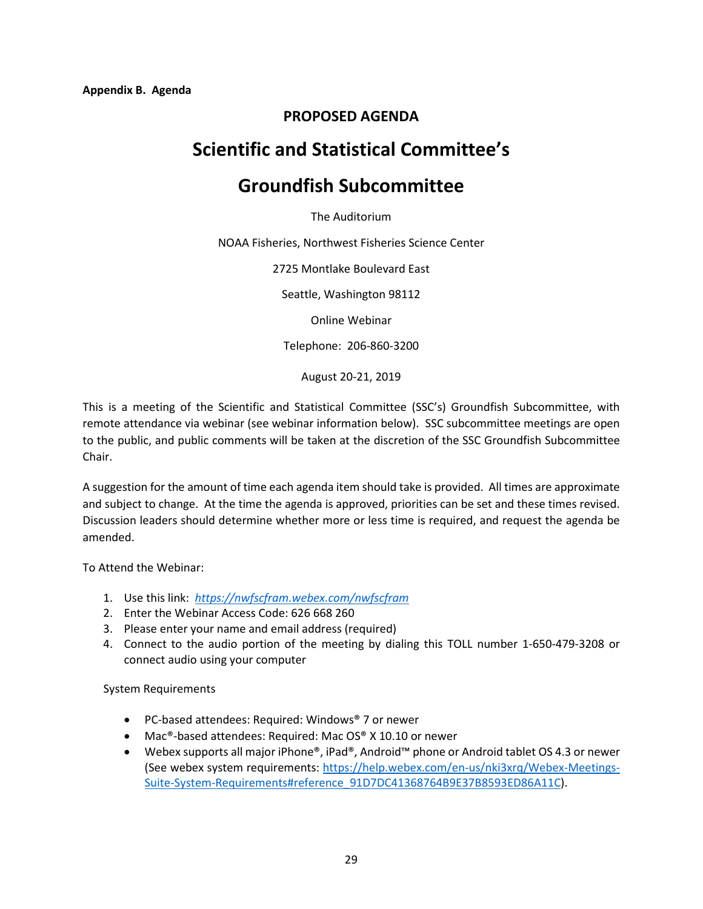# **PROPOSED AGENDA**

# **Scientific and Statistical Committee's**

# **Groundfish Subcommittee**

The Auditorium

NOAA Fisheries, Northwest Fisheries Science Center

2725 Montlake Boulevard East

Seattle, Washington 98112

Online Webinar

Telephone: 206-860-3200

August 20-21, 2019

This is a meeting of the Scientific and Statistical Committee (SSC's) Groundfish Subcommittee, with remote attendance via webinar (see webinar information below). SSC subcommittee meetings are open to the public, and public comments will be taken at the discretion of the SSC Groundfish Subcommittee Chair.

A suggestion for the amount of time each agenda item should take is provided. All times are approximate and subject to change. At the time the agenda is approved, priorities can be set and these times revised. Discussion leaders should determine whether more or less time is required, and request the agenda be amended.

To Attend the Webinar:

- 1. Use this link: *<https://nwfscfram.webex.com/nwfscfram>*
- 2. Enter the Webinar Access Code: 626 668 260
- 3. Please enter your name and email address (required)
- 4. Connect to the audio portion of the meeting by dialing this TOLL number 1-650-479-3208 or connect audio using your computer

System Requirements

- PC-based attendees: Required: Windows® 7 or newer
- Mac®-based attendees: Required: Mac OS® X 10.10 or newer
- Webex supports all major iPhone®, iPad®, Android™ phone or Android tablet OS 4.3 or newer (See webex system requirements: [https://help.webex.com/en-us/nki3xrq/Webex-Meetings-](https://help.webex.com/en-us/nki3xrq/Webex-Meetings-Suite-System-Requirements%23reference_91D7DC41368764B9E37B8593ED86A11C)[Suite-System-Requirements#reference\\_91D7DC41368764B9E37B8593ED86A11C\)](https://help.webex.com/en-us/nki3xrq/Webex-Meetings-Suite-System-Requirements%23reference_91D7DC41368764B9E37B8593ED86A11C).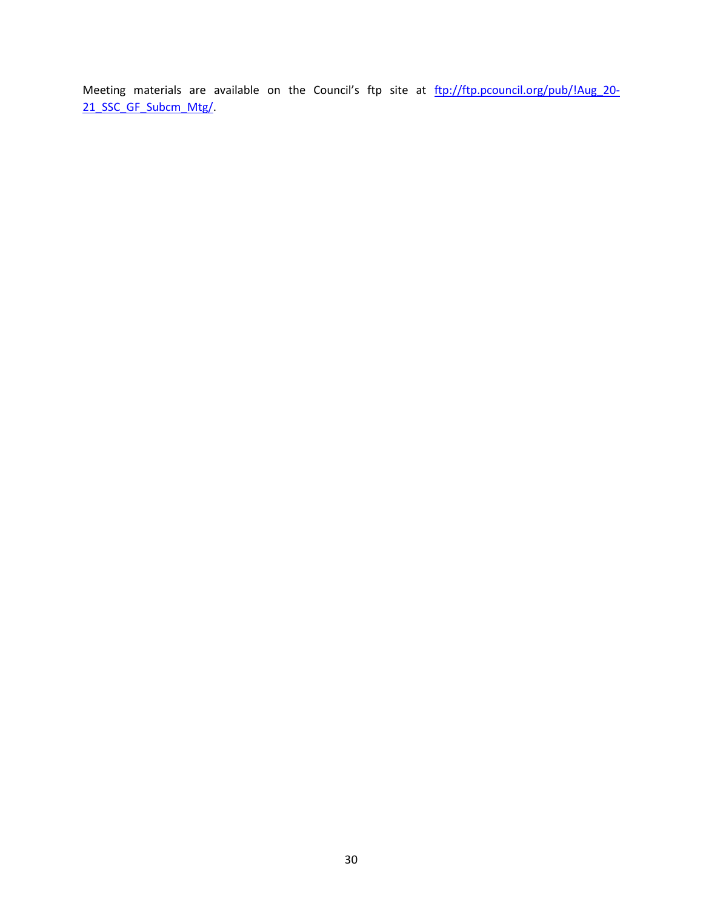Meeting materials are available on the Council's ftp site at [ftp://ftp.pcouncil.org/pub/!Aug\\_20-](ftp://ftp.pcouncil.org/pub/!Aug_20-21_SSC_GF_Subcm_Mtg/) [21\\_SSC\\_GF\\_Subcm\\_Mtg/.](ftp://ftp.pcouncil.org/pub/!Aug_20-21_SSC_GF_Subcm_Mtg/)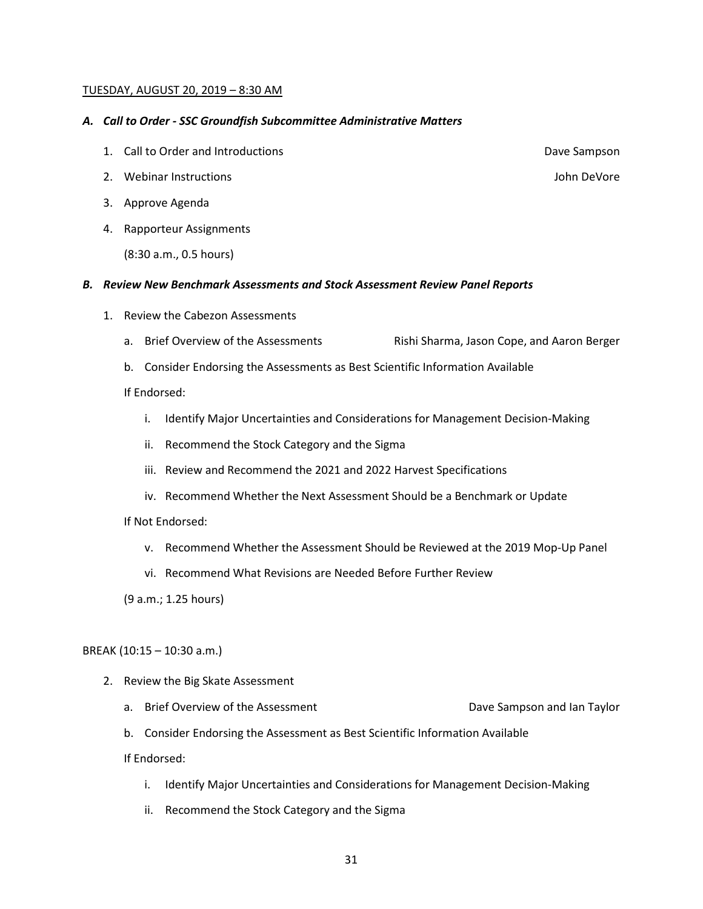#### TUESDAY, AUGUST 20, 2019 – 8:30 AM

#### *A. Call to Order - SSC Groundfish Subcommittee Administrative Matters*

- 1. Call to Order and Introductions **Dave Sampson**
- 2. Webinar Instructions John DeVore
- 3. Approve Agenda
- 4. Rapporteur Assignments

(8:30 a.m., 0.5 hours)

#### *B. Review New Benchmark Assessments and Stock Assessment Review Panel Reports*

- 1. Review the Cabezon Assessments
	- a. Brief Overview of the Assessments Rishi Sharma, Jason Cope, and Aaron Berger
	- b. Consider Endorsing the Assessments as Best Scientific Information Available

If Endorsed:

- i. Identify Major Uncertainties and Considerations for Management Decision-Making
- ii. Recommend the Stock Category and the Sigma
- iii. Review and Recommend the 2021 and 2022 Harvest Specifications
- iv. Recommend Whether the Next Assessment Should be a Benchmark or Update

If Not Endorsed:

- v. Recommend Whether the Assessment Should be Reviewed at the 2019 Mop-Up Panel
- vi. Recommend What Revisions are Needed Before Further Review

(9 a.m.; 1.25 hours)

#### BREAK (10:15 – 10:30 a.m.)

- 2. Review the Big Skate Assessment
	- a. Brief Overview of the Assessment **Dave Sampson and Ian Taylor**
	- b. Consider Endorsing the Assessment as Best Scientific Information Available

If Endorsed:

- i. Identify Major Uncertainties and Considerations for Management Decision-Making
- ii. Recommend the Stock Category and the Sigma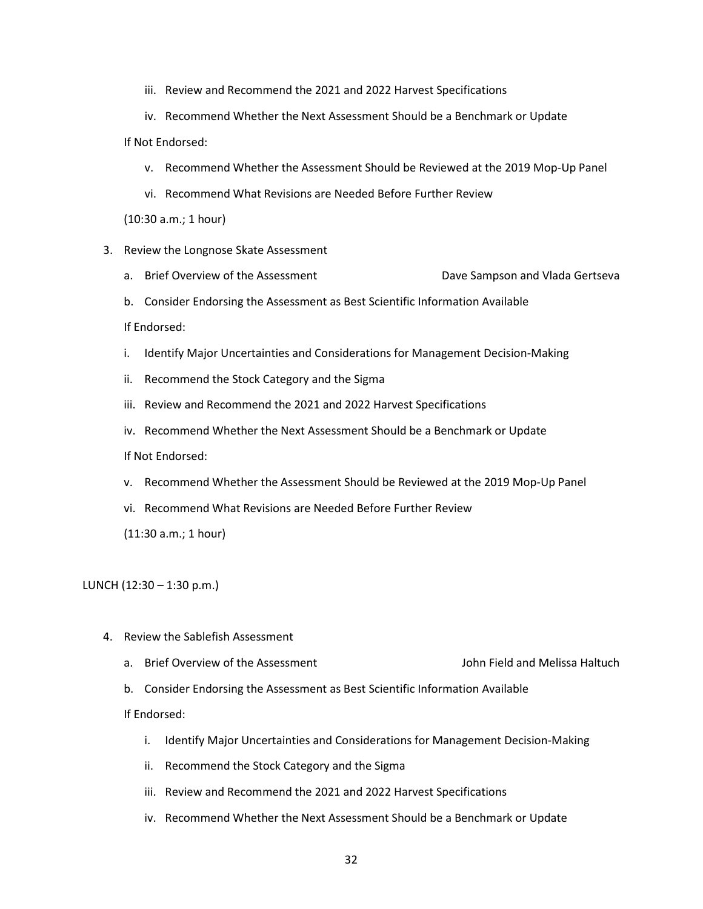- iii. Review and Recommend the 2021 and 2022 Harvest Specifications
- iv. Recommend Whether the Next Assessment Should be a Benchmark or Update If Not Endorsed:
	- v. Recommend Whether the Assessment Should be Reviewed at the 2019 Mop-Up Panel
	- vi. Recommend What Revisions are Needed Before Further Review

(10:30 a.m.; 1 hour)

- 3. Review the Longnose Skate Assessment
	- a. Brief Overview of the Assessment **Dave Sampson and Vlada Gertseva**
	- b. Consider Endorsing the Assessment as Best Scientific Information Available

If Endorsed:

- i. Identify Major Uncertainties and Considerations for Management Decision-Making
- ii. Recommend the Stock Category and the Sigma
- iii. Review and Recommend the 2021 and 2022 Harvest Specifications
- iv. Recommend Whether the Next Assessment Should be a Benchmark or Update

If Not Endorsed:

- v. Recommend Whether the Assessment Should be Reviewed at the 2019 Mop-Up Panel
- vi. Recommend What Revisions are Needed Before Further Review

(11:30 a.m.; 1 hour)

LUNCH (12:30 – 1:30 p.m.)

- 4. Review the Sablefish Assessment
	- a. Brief Overview of the Assessment John Field and Melissa Haltuch
	- b. Consider Endorsing the Assessment as Best Scientific Information Available

If Endorsed:

- i. Identify Major Uncertainties and Considerations for Management Decision-Making
- ii. Recommend the Stock Category and the Sigma
- iii. Review and Recommend the 2021 and 2022 Harvest Specifications
- iv. Recommend Whether the Next Assessment Should be a Benchmark or Update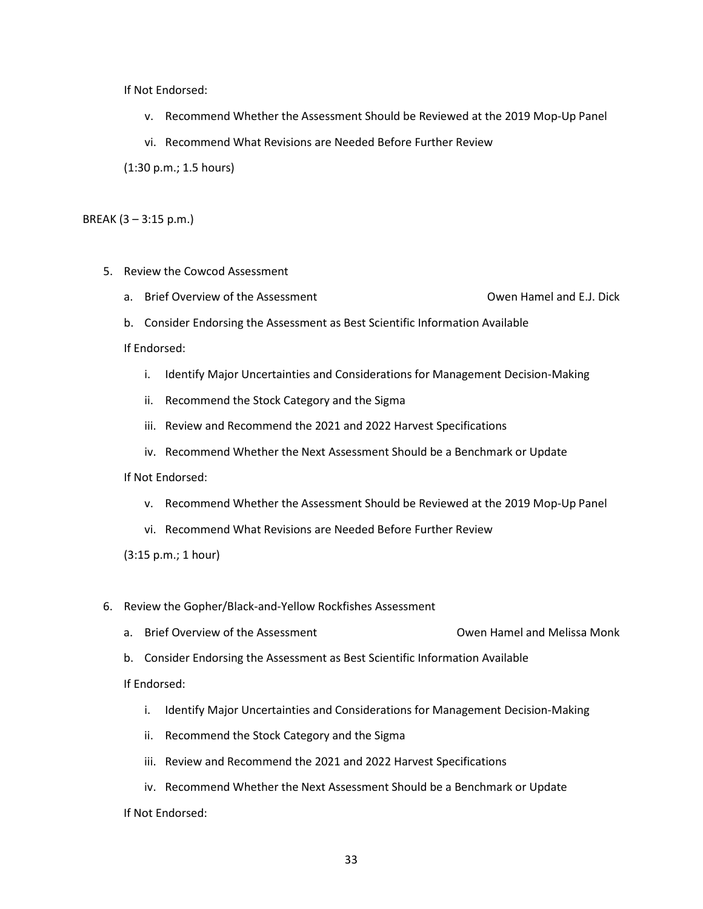If Not Endorsed:

- v. Recommend Whether the Assessment Should be Reviewed at the 2019 Mop-Up Panel
- vi. Recommend What Revisions are Needed Before Further Review

(1:30 p.m.; 1.5 hours)

BREAK (3 – 3:15 p.m.)

- 5. Review the Cowcod Assessment
	- a. Brief Overview of the Assessment Christianus Communicular Communicular Owen Hamel and E.J. Dick
	- b. Consider Endorsing the Assessment as Best Scientific Information Available

If Endorsed:

- i. Identify Major Uncertainties and Considerations for Management Decision-Making
- ii. Recommend the Stock Category and the Sigma
- iii. Review and Recommend the 2021 and 2022 Harvest Specifications
- iv. Recommend Whether the Next Assessment Should be a Benchmark or Update

#### If Not Endorsed:

- v. Recommend Whether the Assessment Should be Reviewed at the 2019 Mop-Up Panel
- vi. Recommend What Revisions are Needed Before Further Review
- (3:15 p.m.; 1 hour)
- 6. Review the Gopher/Black-and-Yellow Rockfishes Assessment
	- a. Brief Overview of the Assessment Communication Communication Communication Communication Density Owen Hamel and Melissa Monk
	- b. Consider Endorsing the Assessment as Best Scientific Information Available

If Endorsed:

- i. Identify Major Uncertainties and Considerations for Management Decision-Making
- ii. Recommend the Stock Category and the Sigma
- iii. Review and Recommend the 2021 and 2022 Harvest Specifications
- iv. Recommend Whether the Next Assessment Should be a Benchmark or Update If Not Endorsed: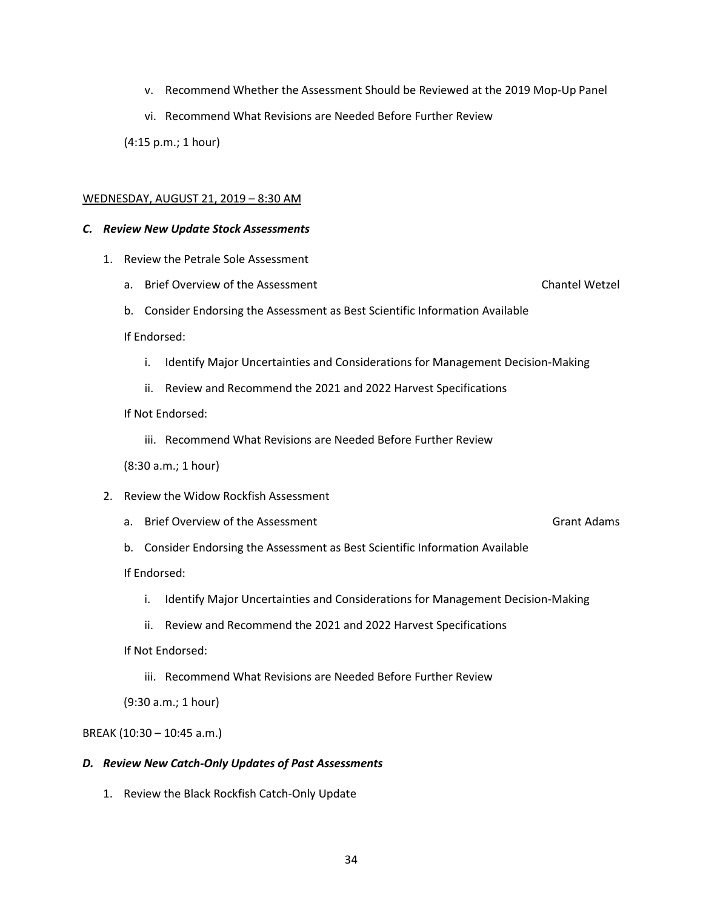- v. Recommend Whether the Assessment Should be Reviewed at the 2019 Mop-Up Panel
- vi. Recommend What Revisions are Needed Before Further Review

(4:15 p.m.; 1 hour)

#### WEDNESDAY, AUGUST 21, 2019 – 8:30 AM

#### *C. Review New Update Stock Assessments*

- 1. Review the Petrale Sole Assessment
	- a. Brief Overview of the Assessment Chantel Wetzel
	- b. Consider Endorsing the Assessment as Best Scientific Information Available

If Endorsed:

- i. Identify Major Uncertainties and Considerations for Management Decision-Making
- ii. Review and Recommend the 2021 and 2022 Harvest Specifications
- If Not Endorsed:
	- iii. Recommend What Revisions are Needed Before Further Review
- (8:30 a.m.; 1 hour)
- 2. Review the Widow Rockfish Assessment
	- a. Brief Overview of the Assessment Grant Adams Grant Adams

b. Consider Endorsing the Assessment as Best Scientific Information Available

If Endorsed:

- i. Identify Major Uncertainties and Considerations for Management Decision-Making
- ii. Review and Recommend the 2021 and 2022 Harvest Specifications
- If Not Endorsed:
	- iii. Recommend What Revisions are Needed Before Further Review

(9:30 a.m.; 1 hour)

BREAK (10:30 – 10:45 a.m.)

#### *D. Review New Catch-Only Updates of Past Assessments*

1. Review the Black Rockfish Catch-Only Update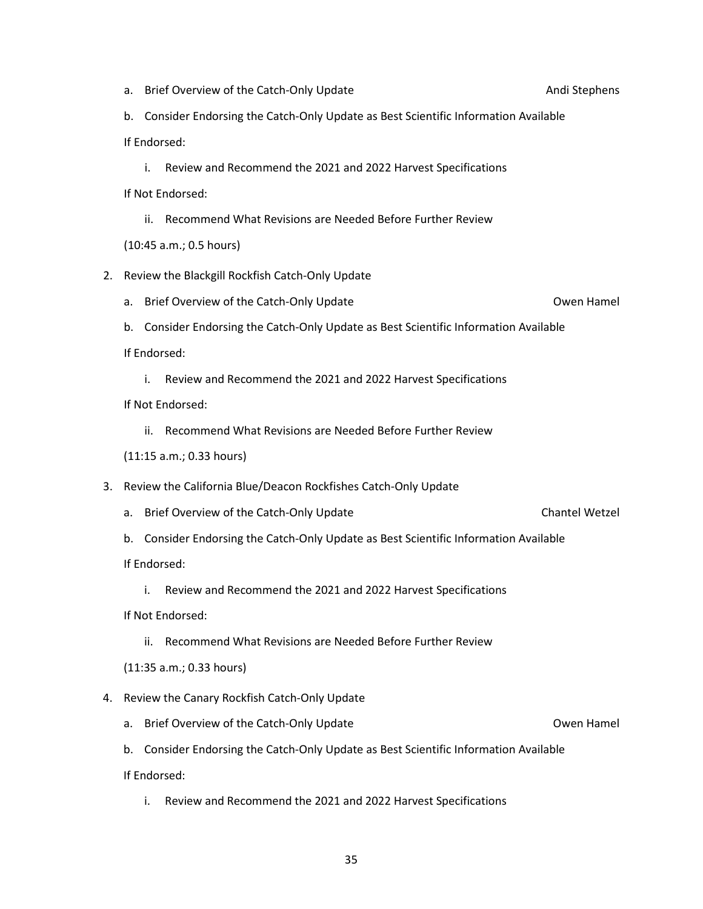4. Review the Canary Rockfish Catch-Only Update a. Brief Overview of the Catch-Only Update **Catch-Only Update** Owen Hamel b. Consider Endorsing the Catch-Only Update as Best Scientific Information Available If Endorsed: i. Review and Recommend the 2021 and 2022 Harvest Specifications

- 
- If Not Endorsed:
	- ii. Recommend What Revisions are Needed Before Further Review

(11:15 a.m.; 0.33 hours)

- 3. Review the California Blue/Deacon Rockfishes Catch-Only Update
	- a. Brief Overview of the Catch-Only Update Chantel Wetzel
	- b. Consider Endorsing the Catch-Only Update as Best Scientific Information Available

If Endorsed:

i. Review and Recommend the 2021 and 2022 Harvest Specifications

If Not Endorsed:

- ii. Recommend What Revisions are Needed Before Further Review
- (11:35 a.m.; 0.33 hours)

b. Consider Endorsing the Catch-Only Update as Best Scientific Information Available If Endorsed:

i. Review and Recommend the 2021 and 2022 Harvest Specifications

If Not Endorsed:

ii. Recommend What Revisions are Needed Before Further Review

(10:45 a.m.; 0.5 hours)

- 2. Review the Blackgill Rockfish Catch-Only Update
	- a. Brief Overview of the Catch-Only Update **Catch-Only Update** Owen Hamel
	- b. Consider Endorsing the Catch-Only Update as Best Scientific Information Available

If Endorsed:

i. Review and Recommend the 2021 and 2022 Harvest Specifications

a. Brief Overview of the Catch-Only Update Andi Stephens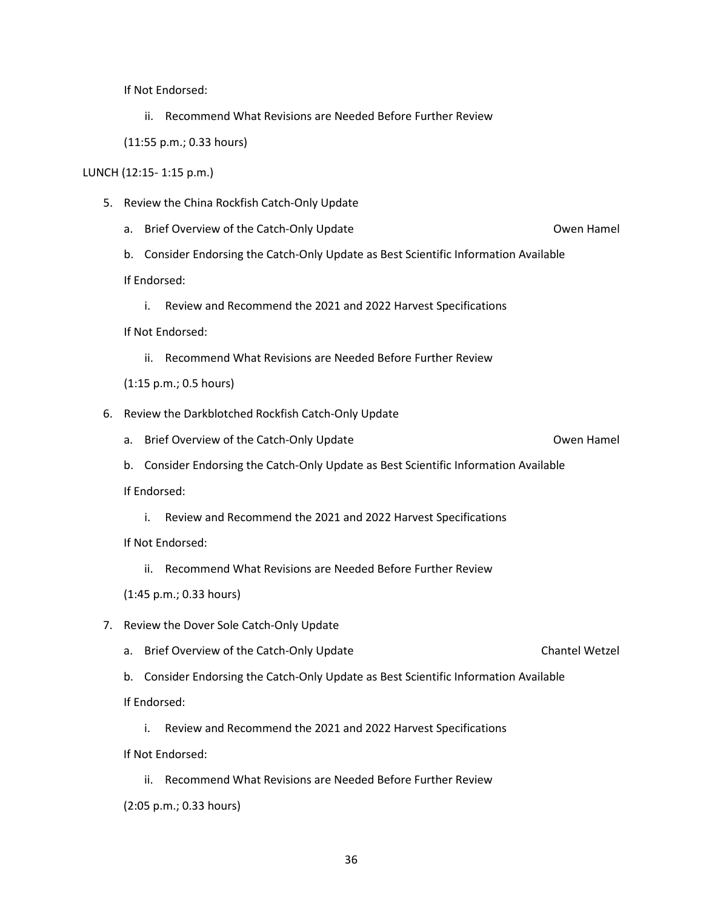If Not Endorsed:

ii. Recommend What Revisions are Needed Before Further Review

(11:55 p.m.; 0.33 hours)

#### LUNCH (12:15- 1:15 p.m.)

- 5. Review the China Rockfish Catch-Only Update
	- a. Brief Overview of the Catch-Only Update **Catch-Only Update** Owen Hamel
	- b. Consider Endorsing the Catch-Only Update as Best Scientific Information Available

If Endorsed:

i. Review and Recommend the 2021 and 2022 Harvest Specifications

If Not Endorsed:

ii. Recommend What Revisions are Needed Before Further Review

(1:15 p.m.; 0.5 hours)

- 6. Review the Darkblotched Rockfish Catch-Only Update
	- a. Brief Overview of the Catch-Only Update **Catch-Only Update** Owen Hamel
	- b. Consider Endorsing the Catch-Only Update as Best Scientific Information Available

If Endorsed:

i. Review and Recommend the 2021 and 2022 Harvest Specifications

If Not Endorsed:

- ii. Recommend What Revisions are Needed Before Further Review
- (1:45 p.m.; 0.33 hours)
- 7. Review the Dover Sole Catch-Only Update
	- a. Brief Overview of the Catch-Only Update Chantel Wetzel
	- b. Consider Endorsing the Catch-Only Update as Best Scientific Information Available

If Endorsed:

i. Review and Recommend the 2021 and 2022 Harvest Specifications

If Not Endorsed:

- ii. Recommend What Revisions are Needed Before Further Review
- (2:05 p.m.; 0.33 hours)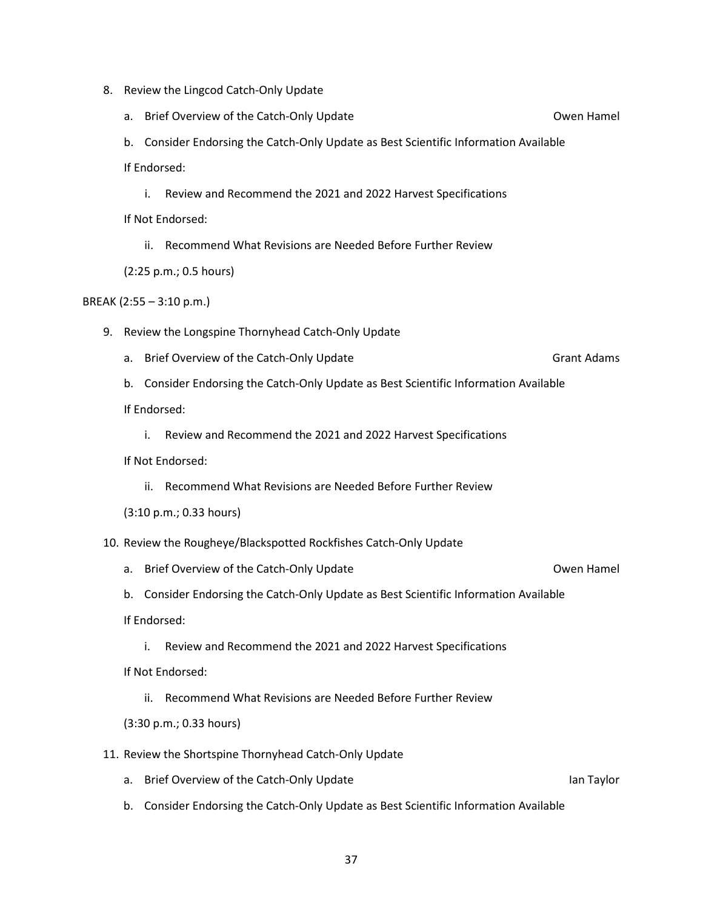- 8. Review the Lingcod Catch-Only Update
	- a. Brief Overview of the Catch-Only Update **Catch-Only Update** Owen Hamel

b. Consider Endorsing the Catch-Only Update as Best Scientific Information Available If Endorsed:

i. Review and Recommend the 2021 and 2022 Harvest Specifications

If Not Endorsed:

ii. Recommend What Revisions are Needed Before Further Review

(2:25 p.m.; 0.5 hours)

BREAK (2:55 – 3:10 p.m.)

- 9. Review the Longspine Thornyhead Catch-Only Update
	- a. Brief Overview of the Catch-Only Update Grant Adams Grant Adams
	- b. Consider Endorsing the Catch-Only Update as Best Scientific Information Available If Endorsed:
		- i. Review and Recommend the 2021 and 2022 Harvest Specifications

If Not Endorsed:

ii. Recommend What Revisions are Needed Before Further Review

(3:10 p.m.; 0.33 hours)

- 10. Review the Rougheye/Blackspotted Rockfishes Catch-Only Update
	- a. Brief Overview of the Catch-Only Update **Catch-Only Update** Owen Hamel
	- b. Consider Endorsing the Catch-Only Update as Best Scientific Information Available If Endorsed:
		- i. Review and Recommend the 2021 and 2022 Harvest Specifications

If Not Endorsed:

ii. Recommend What Revisions are Needed Before Further Review

(3:30 p.m.; 0.33 hours)

- 11. Review the Shortspine Thornyhead Catch-Only Update
	- a. Brief Overview of the Catch-Only Update Ian Taylor Channel Catch-Only Update
	- b. Consider Endorsing the Catch-Only Update as Best Scientific Information Available